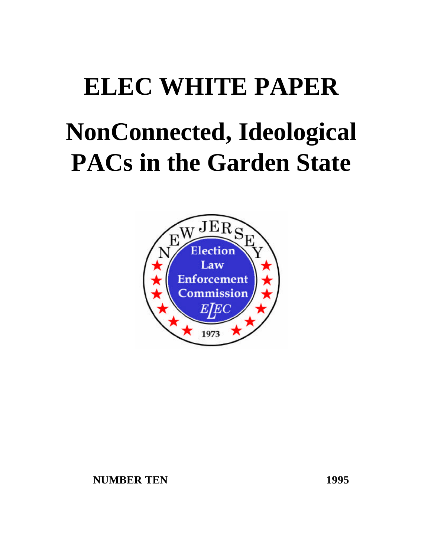# **ELEC WHITE PAPER NonConnected, Ideological PACs in the Garden State**

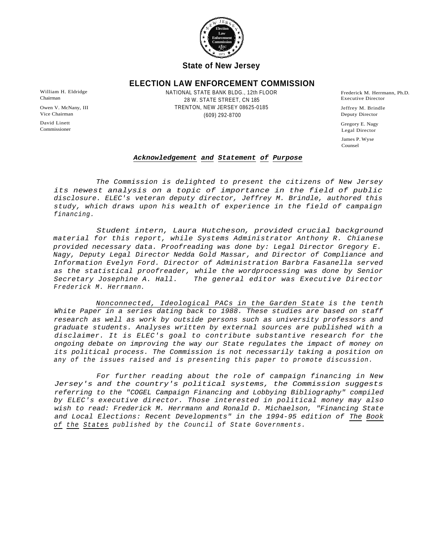

# **State of New Jersey**

# **ELECTION LAW ENFORCEMENT COMMISSION**

William H. Eldridge **Example 20 Terms ANATIONAL STATE BANK BLDG**., 12th FLOOR Frederick M. Herrmann, Ph.D. 28 W. STATE STREET, CN 185 Chairman Executive Director TRENTON, NEW JERSEY 08625-0185 Owen V. McNany, III Jeffrey M. Brindle (609) 292-8700 Vice Chairman Deputy Director

David Linett Gregory E. Nagy Commissioner Legal Director James P. Wyse Counsel

## *Acknowledgement and Statement of Purpose*

*The Commission is delighted to present the citizens of New Jersey its newest analysis on a topic of importance in the field of public disclosure. ELEC's veteran deputy director, Jeffrey M. Brindle, authored this study, which draws upon his wealth of experience in the field of campaign financing.*

*Student intern, Laura Hutcheson, provided crucial background material for this report, while Systems Administrator Anthony R. Chianese provided necessary data. Proofreading was done by: Legal Director Gregory E. Nagy, Deputy Legal Director Nedda Gold Massar, and Director of Compliance and Information Evelyn Ford. Director of Administration Barbra Fasanella served as the statistical proofreader, while the wordprocessing was done by Senior Secretary Josephine A. Hall. Frederick M. Herrmann. The general editor was Executive Director*

*Nonconnected, Ideological PACs in the Garden State is the tenth White Paper in a series dating back to 1988. These studies are based on staff research as well as work by outside persons such as university professors and graduate students. Analyses written by external sources are published with a disclaimer. It is ELEC's goal to contribute substantive research for the ongoing debate on improving the way our State regulates the impact of money on its political process. The Commission is not necessarily taking a position on any of the issues raised and is presenting this paper to promote discussion.*

*For further reading about the role of campaign financing in New Jersey's and the country's political systems, the Commission suggests referring to the "COGEL Campaign Financing and Lobbying Bibliography" compiled by ELEC's executive director. Those interested in political money may also wish to read: Frederick M. Herrmann and Ronald D. Michaelson, "Financing State and Local Elections: Recent Developments" in the 1994-95 edition of The Book of the States published by the Council of State Governments.*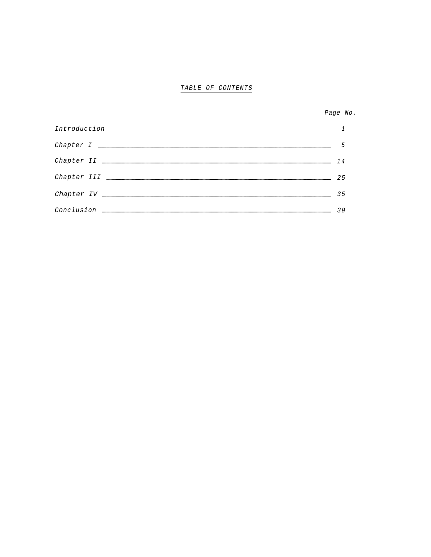# *TABLE OF CONTENTS*

*Page No.*

|                  | 5  |
|------------------|----|
|                  | 14 |
|                  | 25 |
|                  | 35 |
| Conclusion _____ | 39 |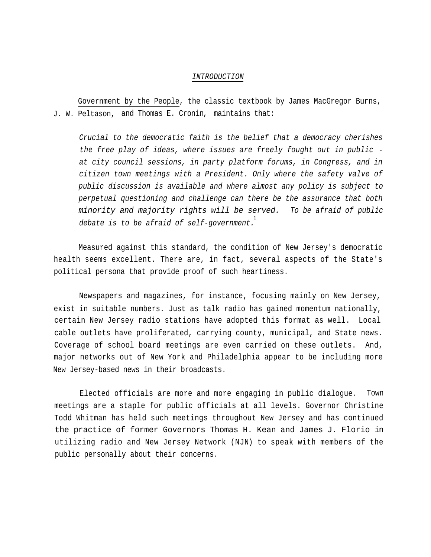#### *INTRODUCTION*

Government by the People, the classic textbook by James MacGregor Burns, J. W. Peltason, and Thomas E. Cronin, maintains that:

*Crucial to the democratic faith is the belief that a democracy cherishes the free play of ideas, where issues are freely fought out in public at city council sessions, in party platform forums, in Congress, and in citizen town meetings with a President. Only where the safety valve of public discussion is available and where almost any policy is subject to perpetual questioning and challenge can there be the assurance that both minority and majority rights will be served. To be afraid of public debate is to be afraid of self-government.* 1

Measured against this standard, the condition of New Jersey's democratic health seems excellent. There are, in fact, several aspects of the State's political persona that provide proof of such heartiness.

Newspapers and magazines, for instance, focusing mainly on New Jersey, exist in suitable numbers. Just as talk radio has gained momentum nationally, certain New Jersey radio stations have adopted this format as well. Local cable outlets have proliferated, carrying county, municipal, and State news. Coverage of school board meetings are even carried on these outlets. And, major networks out of New York and Philadelphia appear to be including more New Jersey-based news in their broadcasts.

Elected officials are more and more engaging in public dialogue. Town meetings are a staple for public officials at all levels. Governor Christine Todd Whitman has held such meetings throughout New Jersey and has continued the practice of former Governors Thomas H. Kean and James J. Florio in utilizing radio and New Jersey Network (NJN) to speak with members of the public personally about their concerns.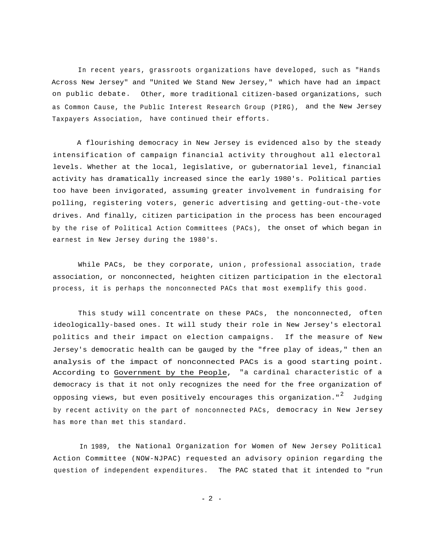In recent years, grassroots organizations have developed, such as "Hands Across New Jersey" and "United We Stand New Jersey," which have had an impact on public debate. Other, more traditional citizen-based organizations, such as Common Cause, the Public Interest Research Group (PIRG), and the New Jersey Taxpayers Association, have continued their efforts.

A flourishing democracy in New Jersey is evidenced also by the steady intensification of campaign financial activity throughout all electoral levels. Whether at the local, legislative, or gubernatorial level, financial activity has dramatically increased since the early 1980's. Political parties too have been invigorated, assuming greater involvement in fundraising for polling, registering voters, generic advertising and getting-out-the-vote drives. And finally, citizen participation in the process has been encouraged by the rise of Political Action Committees (PACs), the onset of which began in earnest in New Jersey during the 1980's.

While PACs, be they corporate, union , professional association, trade association, or nonconnected, heighten citizen participation in the electoral process, it is perhaps the nonconnected PACs that most exemplify this good.

This study will concentrate on these PACs, the nonconnected, often ideologically-based ones. It will study their role in New Jersey's electoral politics and their impact on election campaigns. If the measure of New Jersey's democratic health can be gauged by the "free play of ideas," then an analysis of the impact of nonconnected PACs is a good starting point. According to Government by the People, "a cardinal characteristic of a democracy is that it not only recognizes the need for the free organization of opposing views, but even positively encourages this organization." $^{\mathsf{2}}$  Judging by recent activity on the part of nonconnected PACs, democracy in New Jersey has more than met this standard.

In 1989, the National Organization for Women of New Jersey Political Action Committee (NOW-NJPAC) requested an advisory opinion regarding the question of independent expenditures. The PAC stated that it intended to "run

 $-2 -$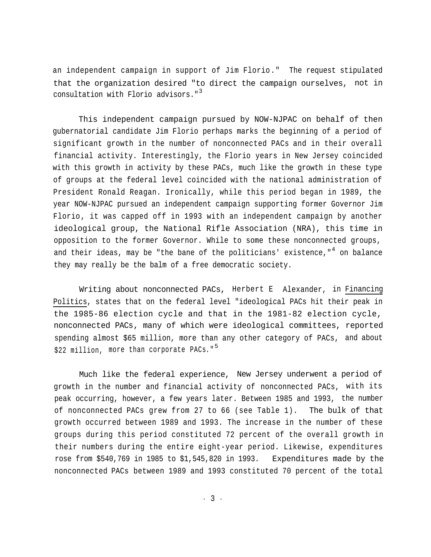an independent campaign in support of Jim Florio." The request stipulated that the organization desired "to direct the campaign ourselves, not in consultation with Florio advisors." 3

This independent campaign pursued by NOW-NJPAC on behalf of then gubernatorial candidate Jim Florio perhaps marks the beginning of a period of significant growth in the number of nonconnected PACs and in their overall financial activity. Interestingly, the Florio years in New Jersey coincided with this growth in activity by these PACs, much like the growth in these type of groups at the federal level coincided with the national administration of President Ronald Reagan. Ironically, while this period began in 1989, the year NOW-NJPAC pursued an independent campaign supporting former Governor Jim Florio, it was capped off in 1993 with an independent campaign by another ideological group, the National Rifle Association (NRA), this time in opposition to the former Governor. While to some these nonconnected groups, and their ideas, may be "the bane of the politicians' existence," $^{\rm 4}$  on balance they may really be the balm of a free democratic society.

Writing about nonconnected PACs, Herbert E Alexander, in Financing Politics, states that on the federal level "ideological PACs hit their peak in the 1985-86 election cycle and that in the 1981-82 election cycle, nonconnected PACs, many of which were ideological committees, reported spending almost \$65 million, more than any other category of PACs, and about \$22 million, more than corporate PACs."<sup>5</sup>

Much like the federal experience, New Jersey underwent a period of growth in the number and financial activity of nonconnected PACs, with its peak occurring, however, a few years later. Between 1985 and 1993, the number of nonconnected PACs grew from 27 to 66 (see Table 1). The bulk of that growth occurred between 1989 and 1993. The increase in the number of these groups during this period constituted 72 percent of the overall growth in their numbers during the entire eight-year period. Likewise, expenditures rose from \$540,769 in 1985 to \$1,545,820 in 1993. Expenditures made by the nonconnected PACs between 1989 and 1993 constituted 70 percent of the total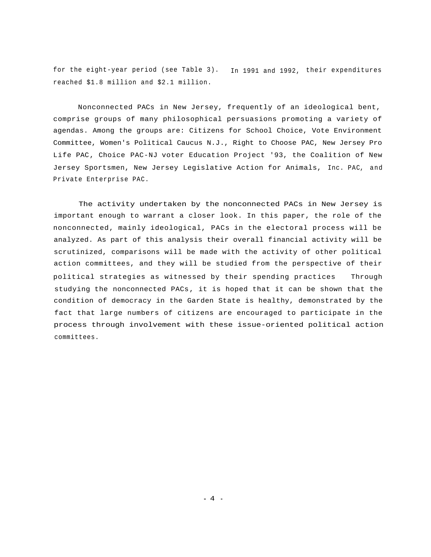for the eight-year period (see Table 3). In 1991 and 1992, their expenditures reached \$1.8 million and \$2.1 million.

Nonconnected PACs in New Jersey, frequently of an ideological bent, comprise groups of many philosophical persuasions promoting a variety of agendas. Among the groups are: Citizens for School Choice, Vote Environment Committee, Women's Political Caucus N.J., Right to Choose PAC, New Jersey Pro Life PAC, Choice PAC-NJ voter Education Project '93, the Coalition of New Jersey Sportsmen, New Jersey Legislative Action for Animals, Inc. PAC, and Private Enterprise PAC.

The activity undertaken by the nonconnected PACs in New Jersey is important enough to warrant a closer look. In this paper, the role of the nonconnected, mainly ideological, PACs in the electoral process will be analyzed. As part of this analysis their overall financial activity will be scrutinized, comparisons will be made with the activity of other political action committees, and they will be studied from the perspective of their political strategies as witnessed by their spending practices Through studying the nonconnected PACs, it is hoped that it can be shown that the condition of democracy in the Garden State is healthy, demonstrated by the fact that large numbers of citizens are encouraged to participate in the process through involvement with these issue-oriented political action committees.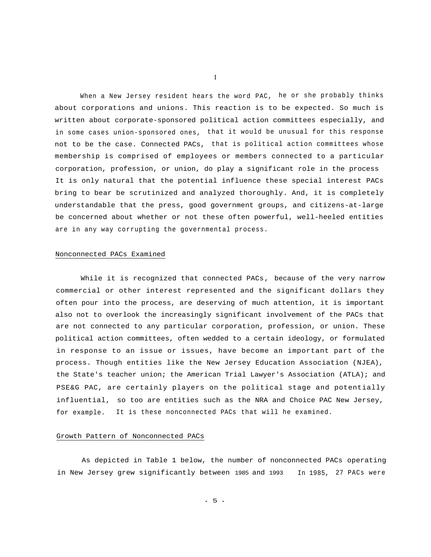When a New Jersey resident hears the word PAC, he or she probably thinks about corporations and unions. This reaction is to be expected. So much is written about corporate-sponsored political action committees especially, and in some cases union-sponsored ones, that it would be unusual for this response not to be the case. Connected PACs, that is political action committees whose membership is comprised of employees or members connected to a particular corporation, profession, or union, do play a significant role in the process It is only natural that the potential influence these special interest PACs bring to bear be scrutinized and analyzed thoroughly. And, it is completely understandable that the press, good government groups, and citizens-at-large be concerned about whether or not these often powerful, well-heeled entities are in any way corrupting the governmental process.

#### Nonconnected PACs Examined

While it is recognized that connected PACs, because of the very narrow commercial or other interest represented and the significant dollars they often pour into the process, are deserving of much attention, it is important also not to overlook the increasingly significant involvement of the PACs that are not connected to any particular corporation, profession, or union. These political action committees, often wedded to a certain ideology, or formulated in response to an issue or issues, have become an important part of the process. Though entities like the New Jersey Education Association (NJEA), the State's teacher union; the American Trial Lawyer's Association (ATLA); and PSE&G PAC, are certainly players on the political stage and potentially influential, so too are entities such as the NRA and Choice PAC New Jersey, It is these nonconnected PACs that will he examined. for example.

#### Growth Pattern of Nonconnected PACs

As depicted in Table 1 below, the number of nonconnected PACs operating in New Jersey grew significantly between 1985 and 1993 In 1985, 27 PACs were

I

- 5 -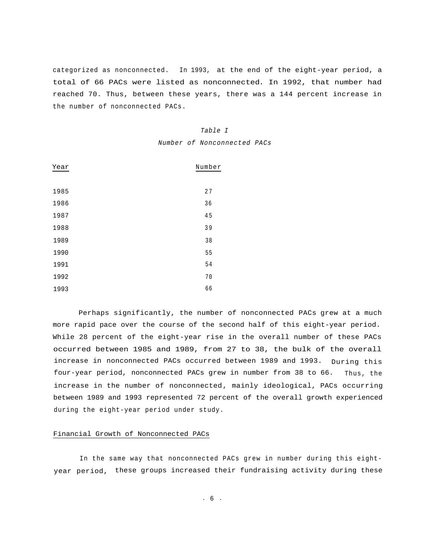categorized as nonconnected. In 1993, at the end of the eight-year period, a total of 66 PACs were listed as nonconnected. In 1992, that number had reached 70. Thus, between these years, there was a 144 percent increase in the number of nonconnected PACs.

## *Table I*

*Number of Nonconnected PACs*

| Year | Number |
|------|--------|
|      |        |
| 1985 | 27     |
| 1986 | 36     |
| 1987 | 45     |
| 1988 | 39     |
| 1989 | 38     |
| 1990 | 55     |
| 1991 | 54     |
| 1992 | 70     |
| 1993 | 66     |

Perhaps significantly, the number of nonconnected PACs grew at a much more rapid pace over the course of the second half of this eight-year period. While 28 percent of the eight-year rise in the overall number of these PACs occurred between 1985 and 1989, from 27 to 38, the bulk of the overall increase in nonconnected PACs occurred between 1989 and 1993. During this four-year period, nonconnected PACs grew in number from 38 to 66. Thus, the increase in the number of nonconnected, mainly ideological, PACs occurring between 1989 and 1993 represented 72 percent of the overall growth experienced during the eight-year period under study.

#### Financial Growth of Nonconnected PACs

In the same way that nonconnected PACs grew in number during this eightyear period, these groups increased their fundraising activity during these

- 6 -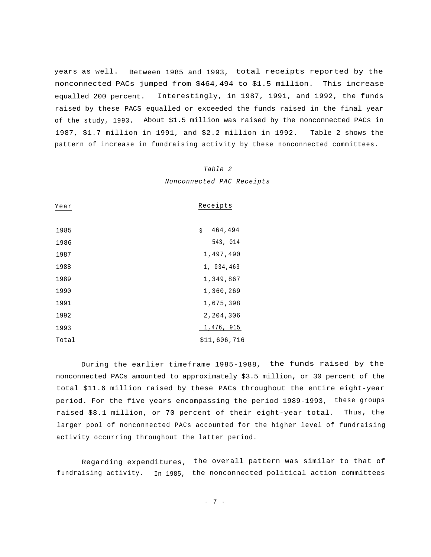years as well. Between 1985 and 1993, total receipts reported by the nonconnected PACs jumped from \$464,494 to \$1.5 million. This increase equalled 200 percent. Interestingly, in 1987, 1991, and 1992, the funds raised by these PACS equalled or exceeded the funds raised in the final year of the study, 1993. About \$1.5 million was raised by the nonconnected PACs in 1987, \$1.7 million in 1991, and \$2.2 million in 1992. Table 2 shows the pattern of increase in fundraising activity by these nonconnected committees.

#### *Table 2*

*Nonconnected PAC Receipts*

| Year  | Receipts      |
|-------|---------------|
| 1985  | 464,494<br>\$ |
| 1986  | 543, 014      |
| 1987  | 1,497,490     |
| 1988  | 1, 034, 463   |
| 1989  | 1,349,867     |
| 1990  | 1,360,269     |
| 1991  | 1,675,398     |
| 1992  | 2,204,306     |
| 1993  | 1,476, 915    |
| Total | \$11,606,716  |

During the earlier timeframe 1985-1988, the funds raised by the nonconnected PACs amounted to approximately \$3.5 million, or 30 percent of the total \$11.6 million raised by these PACs throughout the entire eight-year period. For the five years encompassing the period 1989-1993, these groups raised \$8.1 million, or 70 percent of their eight-year total. Thus, the larger pool of nonconnected PACs accounted for the higher level of fundraising activity occurring throughout the latter period.

Regarding expenditures, the overall pattern was similar to that of fundraising activity. In 1985, the nonconnected political action committees

- 7 -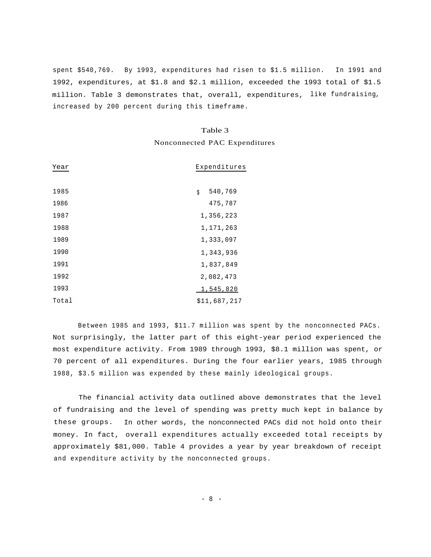spent \$540,769. By 1993, expenditures had risen to \$1.5 million. In 1991 and 1992, expenditures, at \$1.8 and \$2.1 million, exceeded the 1993 total of \$1.5 million. Table 3 demonstrates that, overall, expenditures, like fundraising, increased by 200 percent during this timeframe.

#### Table 3

### Nonconnected PAC Expenditures

| Year  | Expenditures  |
|-------|---------------|
| 1985  | 540,769<br>\$ |
| 1986  | 475,787       |
| 1987  | 1,356,223     |
| 1988  | 1,171,263     |
| 1989  | 1,333,097     |
| 1990  | 1,343,936     |
| 1991  | 1,837,849     |
| 1992  | 2,082,473     |
| 1993  | 1,545,820     |
| Total | \$11,687,217  |

Between 1985 and 1993, \$11.7 million was spent by the nonconnected PACs. Not surprisingly, the latter part of this eight-year period experienced the most expenditure activity. From 1989 through 1993, \$8.1 million was spent, or 70 percent of all expenditures. During the four earlier years, 1985 through 1988, \$3.5 million was expended by these mainly ideological groups.

The financial activity data outlined above demonstrates that the level of fundraising and the level of spending was pretty much kept in balance by these groups. In other words, the nonconnected PACs did not hold onto their money. In fact, overall expenditures actually exceeded total receipts by approximately \$81,000. Table 4 provides a year by year breakdown of receipt and expenditure activity by the nonconnected groups.

- 8 -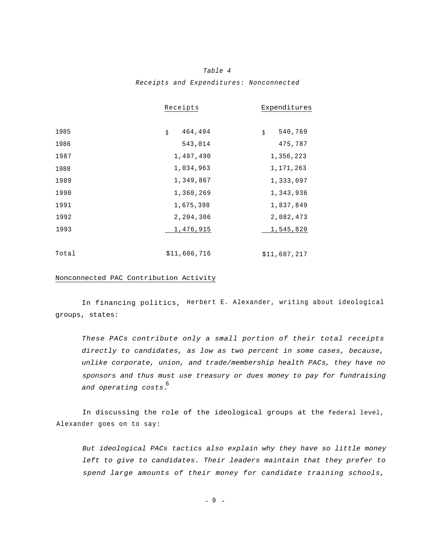# *Table 4 Receipts and Expenditures: Nonconnected*

|       | Receipts      | Expenditures  |
|-------|---------------|---------------|
| 1985  | 464,494<br>\$ | 540,769<br>\$ |
| 1986  | 543,014       | 475,787       |
| 1987  | 1,497,490     | 1,356,223     |
| 1988  | 1,034,963     | 1,171,263     |
| 1989  | 1,349,867     | 1,333,097     |
| 1990  | 1,360,269     | 1,343,936     |
| 1991  | 1,675,398     | 1,837,849     |
| 1992  | 2,204,306     | 2,082,473     |
| 1993  | 1,476,915     | 1,545,820     |
|       |               |               |
| Total | \$11,606,716  | \$11,687,217  |

#### Nonconnected PAC Contribution Activity

In financing politics, Herbert E. Alexander, writing about ideological groups, states:

*These PACs contribute only a small portion of their total receipts directly to candidates, as low as two percent in some cases, because, unlike corporate, union, and trade/membership health PACs, they have no sponsors and thus must use treasury or dues money to pay for fundraising and operating costs.* 6

In discussing the role of the ideological groups at the federal level, Alexander goes on to say:

*But ideological PACs tactics also explain why they have so little money left to give to candidates. Their leaders maintain that they prefer to spend large amounts of their money for candidate training schools,*

- 9 -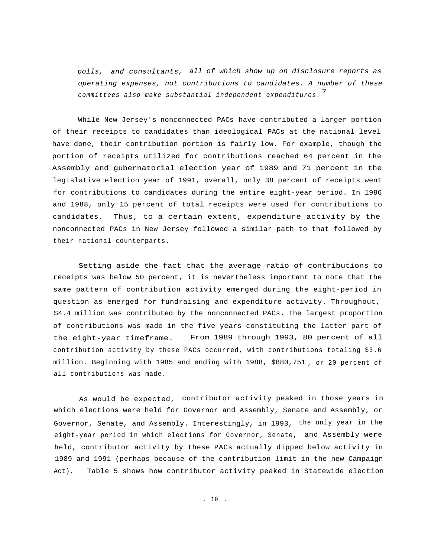*polls, and consultants, all of which show up on disclosure reports as operating expenses, not contributions to candidates. A number of these* 7 *committees also make substantial independent expenditures.*

While New Jersey's nonconnected PACs have contributed a larger portion of their receipts to candidates than ideological PACs at the national level have done, their contribution portion is fairly low. For example, though the portion of receipts utilized for contributions reached 64 percent in the Assembly and gubernatorial election year of 1989 and 71 percent in the legislative election year of 1991, overall, only 38 percent of receipts went for contributions to candidates during the entire eight-year period. In 1986 and 1988, only 15 percent of total receipts were used for contributions to candidates. Thus, to a certain extent, expenditure activity by the nonconnected PACs in New Jersey followed a similar path to that followed by their national counterparts.

Setting aside the fact that the average ratio of contributions to receipts was below 50 percent, it is nevertheless important to note that the same pattern of contribution activity emerged during the eight-period in question as emerged for fundraising and expenditure activity. Throughout, \$4.4 million was contributed by the nonconnected PACs. The largest proportion of contributions was made in the five years constituting the latter part of the eight-year timeframe. From 1989 through 1993, 80 percent of all contribution activity by these PACs occurred, with contributions totaling \$3.6 million. Beginning with 1985 and ending with 1988, \$880,751 , or 20 percent of all contributions was made.

As would be expected, contributor activity peaked in those years in which elections were held for Governor and Assembly, Senate and Assembly, or Governor, Senate, and Assembly. Interestingly, in 1993, the only year in the eight-year period in which elections for Governor, Senate, and Assembly were held, contributor activity by these PACs actually dipped below activity in 1989 and 1991 (perhaps because of the contribution limit in the new Campaign Act). Table 5 shows how contributor activity peaked in Statewide election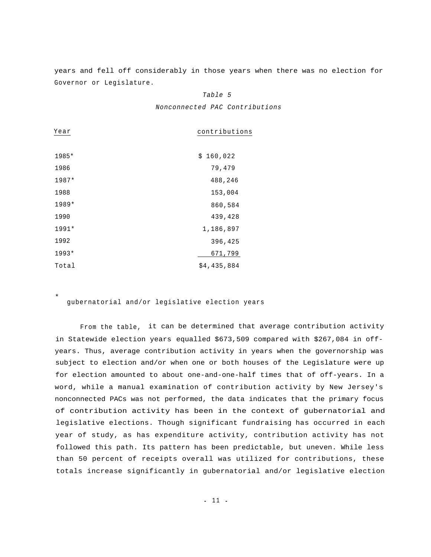years and fell off considerably in those years when there was no election for Governor or Legislature.

#### *Table 5*

*Nonconnected PAC Contributions*

| contributions |
|---------------|
|               |
| \$160,022     |
| 79,479        |
| 488,246       |
| 153,004       |
| 860,584       |
| 439,428       |
| 1,186,897     |
| 396,425       |
| 671,799       |
| \$4,435,884   |
|               |

gubernatorial and/or legislative election years

\*

From the table, it can be determined that average contribution activity in Statewide election years equalled \$673,509 compared with \$267,084 in offyears. Thus, average contribution activity in years when the governorship was subject to election and/or when one or both houses of the Legislature were up for election amounted to about one-and-one-half times that of off-years. In a word, while a manual examination of contribution activity by New Jersey's nonconnected PACs was not performed, the data indicates that the primary focus of contribution activity has been in the context of gubernatorial and legislative elections. Though significant fundraising has occurred in each year of study, as has expenditure activity, contribution activity has not followed this path. Its pattern has been predictable, but uneven. While less than 50 percent of receipts overall was utilized for contributions, these totals increase significantly in gubernatorial and/or legislative election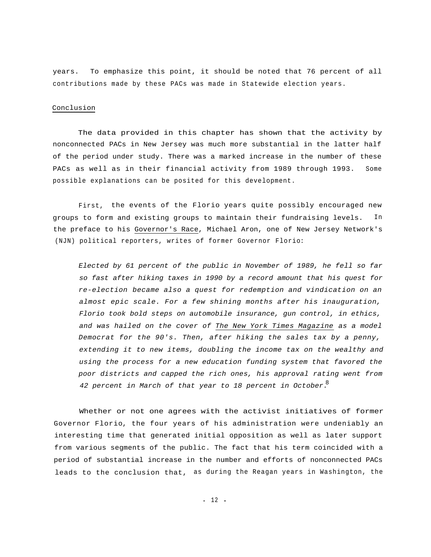years. To emphasize this point, it should be noted that 76 percent of all contributions made by these PACs was made in Statewide election years.

#### Conclusion

The data provided in this chapter has shown that the activity by nonconnected PACs in New Jersey was much more substantial in the latter half of the period under study. There was a marked increase in the number of these PACs as well as in their financial activity from 1989 through 1993. Some possible explanations can be posited for this development.

First, the events of the Florio years quite possibly encouraged new groups to form and existing groups to maintain their fundraising levels. In the preface to his Governor's Race, Michael Aron, one of New Jersey Network's (NJN) political reporters, writes of former Governor Florio:

*Elected by 61 percent of the public in November of 1989, he fell so far so fast after hiking taxes in 1990 by a record amount that his quest for re-election became also a quest for redemption and vindication on an almost epic scale. For a few shining months after his inauguration, Florio took bold steps on automobile insurance, gun control, in ethics, and was hailed on the cover of The New York Times Magazine as a model Democrat for the 90's. Then, after hiking the sales tax by a penny, extending it to new items, doubling the income tax on the wealthy and using the process for a new education funding system that favored the poor districts and capped the rich ones, his approval rating went from 42 percent in March of that year to 18 percent in October.* 8

Whether or not one agrees with the activist initiatives of former Governor Florio, the four years of his administration were undeniably an interesting time that generated initial opposition as well as later support from various segments of the public. The fact that his term coincided with a period of substantial increase in the number and efforts of nonconnected PACs leads to the conclusion that, as during the Reagan years in Washington, the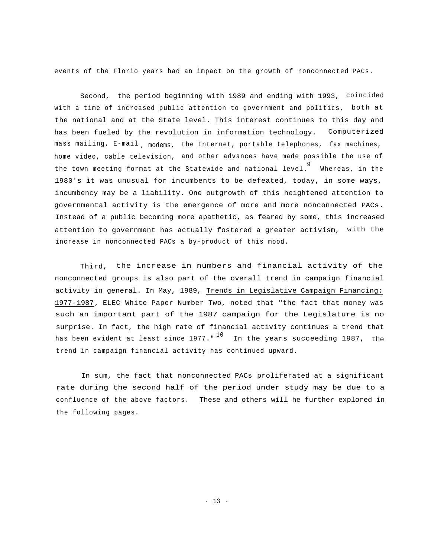events of the Florio years had an impact on the growth of nonconnected PACs.

Second, the period beginning with 1989 and ending with 1993, coincided with a time of increased public attention to government and politics, both at the national and at the State level. This interest continues to this day and has been fueled by the revolution in information technology. Computerized mass mailing, E-mail <sub>, modems, the Internet, portable telephones, fax machines,</sub> home video, cable television, and other advances have made possible the use of the town meeting format at the Statewide and national level. Whereas, in the 91980's it was unusual for incumbents to be defeated, today, in some ways, incumbency may be a liability. One outgrowth of this heightened attention to governmental activity is the emergence of more and more nonconnected PACs. Instead of a public becoming more apathetic, as feared by some, this increased attention to government has actually fostered a greater activism, with the increase in nonconnected PACs a by-product of this mood.

Third, the increase in numbers and financial activity of the nonconnected groups is also part of the overall trend in campaign financial activity in general. In May, 1989, Trends in Legislative Campaign Financing: 1977-1987, ELEC White Paper Number Two, noted that "the fact that money was such an important part of the 1987 campaign for the Legislature is no surprise. In fact, the high rate of financial activity continues a trend that has been evident at least since 1977."  $^{10}$  In the years succeeding 1987, the trend in campaign financial activity has continued upward.

In sum, the fact that nonconnected PACs proliferated at a significant rate during the second half of the period under study may be due to a confluence of the above factors. These and others will he further explored in the following pages.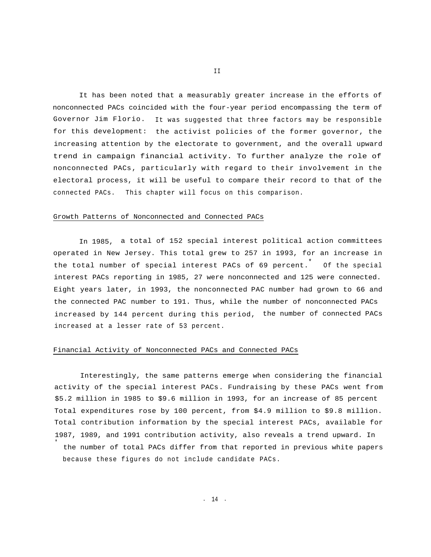It has been noted that a measurably greater increase in the efforts of nonconnected PACs coincided with the four-year period encompassing the term of Governor Jim Florio. It was suggested that three factors may be responsible for this development: the activist policies of the former governor, the increasing attention by the electorate to government, and the overall upward trend in campaign financial activity. To further analyze the role of nonconnected PACs, particularly with regard to their involvement in the electoral process, it will be useful to compare their record to that of the connected PACs. This chapter will focus on this comparison.

#### Growth Patterns of Nonconnected and Connected PACs

In 1985, a total of 152 special interest political action committees operated in New Jersey. This total grew to 257 in 1993, for an increase in the total number of special interest PACs of 69 percent.<sup>\*</sup> Of the special interest PACs reporting in 1985, 27 were nonconnected and 125 were connected. Eight years later, in 1993, the nonconnected PAC number had grown to 66 and the connected PAC number to 191. Thus, while the number of nonconnected PACs increased by 144 percent during this period, the number of connected PACs increased at a lesser rate of 53 percent.

#### Financial Activity of Nonconnected PACs and Connected PACs

Interestingly, the same patterns emerge when considering the financial activity of the special interest PACs. Fundraising by these PACs went from \$5.2 million in 1985 to \$9.6 million in 1993, for an increase of 85 percent Total expenditures rose by 100 percent, from \$4.9 million to \$9.8 million. Total contribution information by the special interest PACs, available for 1987, 1989, and 1991 contribution activity, also reveals a trend upward. In \* the number of total PACs differ from that reported in previous white papers because these figures do not include candidate PACs.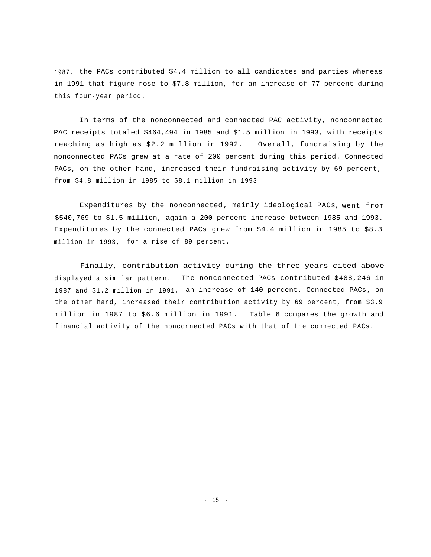1987, the PACs contributed \$4.4 million to all candidates and parties whereas in 1991 that figure rose to \$7.8 million, for an increase of 77 percent during this four-year period.

In terms of the nonconnected and connected PAC activity, nonconnected PAC receipts totaled \$464,494 in 1985 and \$1.5 million in 1993, with receipts reaching as high as \$2.2 million in 1992. Overall, fundraising by the nonconnected PACs grew at a rate of 200 percent during this period. Connected PACs, on the other hand, increased their fundraising activity by 69 percent, from \$4.8 million in 1985 to \$8.1 million in 1993.

Expenditures by the nonconnected, mainly ideological PACs, went from \$540,769 to \$1.5 million, again a 200 percent increase between 1985 and 1993. Expenditures by the connected PACs grew from \$4.4 million in 1985 to \$8.3 million in 1993, for a rise of 89 percent.

Finally, contribution activity during the three years cited above displayed a similar pattern. The nonconnected PACs contributed \$488,246 in 1987 and \$1.2 million in 1991, an increase of 140 percent. Connected PACs, on the other hand, increased their contribution activity by 69 percent, from \$3.9 million in 1987 to \$6.6 million in 1991. Table 6 compares the growth and financial activity of the nonconnected PACs with that of the connected PACs.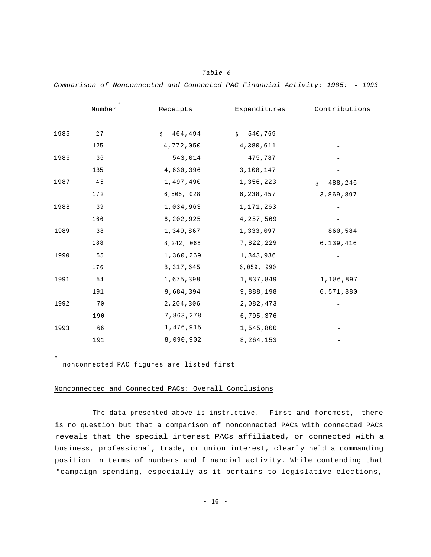|      | $\star$<br>Number | Receipts     | Expenditures          | Contributions |
|------|-------------------|--------------|-----------------------|---------------|
|      |                   |              |                       |               |
| 1985 | 27                | 464,494<br>Ŝ | 540,769<br>$\ddot{S}$ |               |
|      | 125               | 4,772,050    | 4,380,611             |               |
| 1986 | 36                | 543,014      | 475,787               |               |
|      | 135               | 4,630,396    | 3,108,147             |               |
| 1987 | 45                | 1,497,490    | 1,356,223             | 488,246<br>Ŝ. |
|      | 172               | 6,505, 028   | 6,238,457             | 3,869,897     |
| 1988 | 39                | 1,034,963    | 1,171,263             |               |
|      | 166               | 6,202,925    | 4, 257, 569           |               |
| 1989 | 38                | 1,349,867    | 1,333,097             | 860,584       |
|      | 188               | 8,242, 066   | 7,822,229             | 6,139,416     |
| 1990 | 55                | 1,360,269    | 1,343,936             |               |
|      | 176               | 8, 317, 645  | 6,059, 990            |               |
| 1991 | - 54              | 1,675,398    | 1,837,849             | 1,186,897     |
|      | 191               | 9,684,394    | 9,888,198             | 6,571,880     |
| 1992 | 70                | 2,204,306    | 2,082,473             |               |
|      | 190               | 7,863,278    | 6,795,376             |               |
| 1993 | 66                | 1,476,915    | 1,545,800             |               |
|      | 191               | 8,090,902    | 8, 264, 153           |               |

*Table 6*

*Comparison of Nonconnected and Connected PAC Financial Activity: 1985: - 1993*

nonconnected PAC figures are listed first

\*

#### Nonconnected and Connected PACs: Overall Conclusions

The data presented above is instructive. First and foremost, there is no question but that a comparison of nonconnected PACs with connected PACs reveals that the special interest PACs affiliated, or connected with a business, professional, trade, or union interest, clearly held a commanding position in terms of numbers and financial activity. While contending that "campaign spending, especially as it pertains to legislative elections,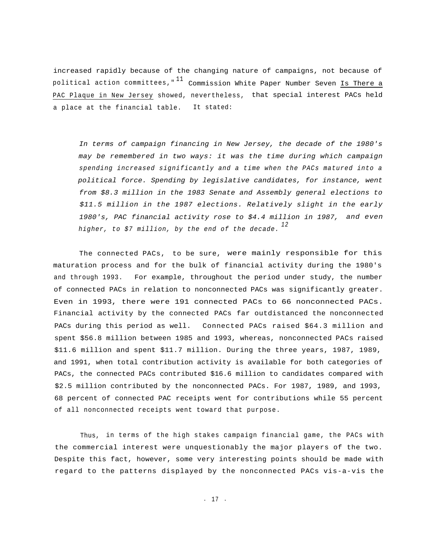increased rapidly because of the changing nature of campaigns, not because of political action committees,"  $^{11}$  Commission White Paper Number Seven Is There a PAC Plaque in New Jersey showed, nevertheless, that special interest PACs held a place at the financial table. It stated:

*In terms of campaign financing in New Jersey, the decade of the 1980's may be remembered in two ways: it was the time during which campaign spending increased significantly and a time when the PACs matured into a political force. Spending by legislative candidates, for instance, went from \$8.3 million in the 1983 Senate and Assembly general elections to \$11.5 million in the 1987 elections. Relatively slight in the early 1980's, PAC financial activity rose to \$4.4 million in 1987, and even <sup>12</sup> higher, to \$7 million, by the end of the decade.*

The connected PACs, to be sure, were mainly responsible for this maturation process and for the bulk of financial activity during the 1980's and through 1993. For example, throughout the period under study, the number of connected PACs in relation to nonconnected PACs was significantly greater. Even in 1993, there were 191 connected PACs to 66 nonconnected PACs. Financial activity by the connected PACs far outdistanced the nonconnected PACs during this period as well. Connected PACs raised \$64.3 million and spent \$56.8 million between 1985 and 1993, whereas, nonconnected PACs raised \$11.6 million and spent \$11.7 million. During the three years, 1987, 1989, and 1991, when total contribution activity is available for both categories of PACs, the connected PACs contributed \$16.6 million to candidates compared with \$2.5 million contributed by the nonconnected PACs. For 1987, 1989, and 1993, 68 percent of connected PAC receipts went for contributions while 55 percent of all nonconnected receipts went toward that purpose.

Thus, in terms of the high stakes campaign financial game, the PACs with the commercial interest were unquestionably the major players of the two. Despite this fact, however, some very interesting points should be made with regard to the patterns displayed by the nonconnected PACs vis-a-vis the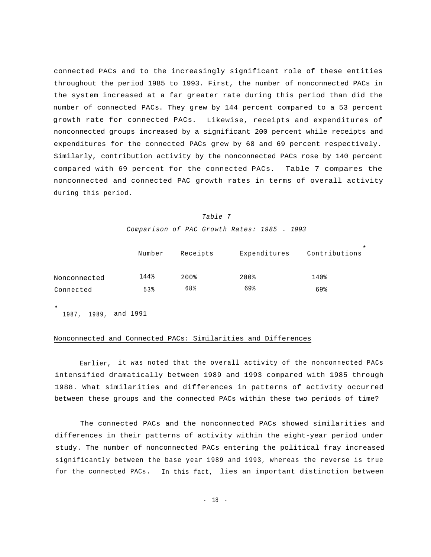connected PACs and to the increasingly significant role of these entities throughout the period 1985 to 1993. First, the number of nonconnected PACs in the system increased at a far greater rate during this period than did the number of connected PACs. They grew by 144 percent compared to a 53 percent growth rate for connected PACs. Likewise, receipts and expenditures of nonconnected groups increased by a significant 200 percent while receipts and expenditures for the connected PACs grew by 68 and 69 percent respectively. Similarly, contribution activity by the nonconnected PACs rose by 140 percent compared with 69 percent for the connected PACs. Table 7 compares the nonconnected and connected PAC growth rates in terms of overall activity during this period.

#### *Table 7*

*Comparison of PAC Growth Rates: 1985* - *1993*

|              | Number | Receipts  | Expenditures | Contributions |
|--------------|--------|-----------|--------------|---------------|
| Nonconnected | 144%   | $200$ $%$ | $200$ %      | 140%          |
| Connected    | 53%    | 68%       | 69%          | 69%           |

1987, 1989, and 1991

\*

#### Nonconnected and Connected PACs: Similarities and Differences

Earlier, it was noted that the overall activity of the nonconnected PACs intensified dramatically between 1989 and 1993 compared with 1985 through 1988. What similarities and differences in patterns of activity occurred between these groups and the connected PACs within these two periods of time?

The connected PACs and the nonconnected PACs showed similarities and differences in their patterns of activity within the eight-year period under study. The number of nonconnected PACs entering the political fray increased significantly between the base year 1989 and 1993, whereas the reverse is true for the connected PACs. In this fact, lies an important distinction between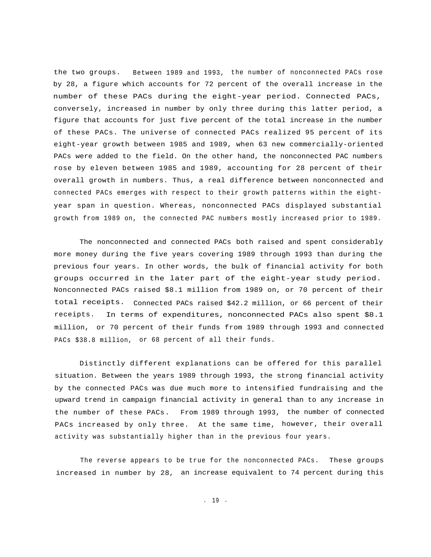the two groups. Between 1989 and 1993, the number of nonconnected PACs rose by 28, a figure which accounts for 72 percent of the overall increase in the number of these PACs during the eight-year period. Connected PACs, conversely, increased in number by only three during this latter period, a figure that accounts for just five percent of the total increase in the number of these PACs. The universe of connected PACs realized 95 percent of its eight-year growth between 1985 and 1989, when 63 new commercially-oriented PACs were added to the field. On the other hand, the nonconnected PAC numbers rose by eleven between 1985 and 1989, accounting for 28 percent of their overall growth in numbers. Thus, a real difference between nonconnected and connected PACs emerges with respect to their growth patterns within the eightyear span in question. Whereas, nonconnected PACs displayed substantial growth from 1989 on, the connected PAC numbers mostly increased prior to 1989.

The nonconnected and connected PACs both raised and spent considerably more money during the five years covering 1989 through 1993 than during the previous four years. In other words, the bulk of financial activity for both groups occurred in the later part of the eight-year study period. Nonconnected PACs raised \$8.1 million from 1989 on, or 70 percent of their total receipts. Connected PACs raised \$42.2 million, or 66 percent of their receipts. In terms of expenditures, nonconnected PACs also spent \$8.1 million, or 70 percent of their funds from 1989 through 1993 and connected PACs \$38.8 million, or 68 percent of all their funds.

Distinctly different explanations can be offered for this parallel situation. Between the years 1989 through 1993, the strong financial activity by the connected PACs was due much more to intensified fundraising and the upward trend in campaign financial activity in general than to any increase in the number of these PACs. From 1989 through 1993, the number of connected PACs increased by only three. At the same time, however, their overall activity was substantially higher than in the previous four years.

The reverse appears to be true for the nonconnected PACs. These groups increased in number by 28, an increase equivalent to 74 percent during this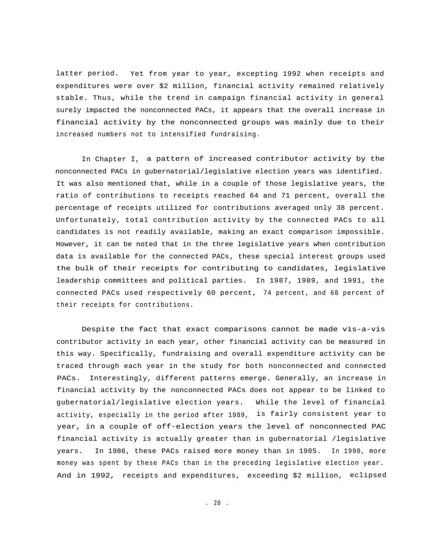latter period. Yet from year to year, excepting 1992 when receipts and expenditures were over \$2 million, financial activity remained relatively stable. Thus, while the trend in campaign financial activity in general surely impacted the nonconnected PACs, it appears that the overall increase in financial activity by the nonconnected groups was mainly due to their increased numbers not to intensified fundraising.

In Chapter I, a pattern of increased contributor activity by the nonconnected PACs in gubernatorial/legislative election years was identified. It was also mentioned that, while in a couple of those legislative years, the ratio of contributions to receipts reached 64 and 71 percent, overall the percentage of receipts utilized for contributions averaged only 38 percent. Unfortunately, total contribution activity by the connected PACs to all candidates is not readily available, making an exact comparison impossible. However, it can be noted that in the three legislative years when contribution data is available for the connected PACs, these special interest groups used the bulk of their receipts for contributing to candidates, legislative leadership committees and political parties. In 1987, 1989, and 1991, the connected PACs used respectively 60 percent, 74 percent, and 68 percent of their receipts for contributions.

Despite the fact that exact comparisons cannot be made vis-a-vis contributor activity in each year, other financial activity can be measured in this way. Specifically, fundraising and overall expenditure activity can be traced through each year in the study for both nonconnected and connected PACs. Interestingly, different patterns emerge. Generally, an increase in financial activity by the nonconnected PACs does not appear to be linked to gubernatorial/legislative election years. While the level of financial activity, especially in the period after 1989, is fairly consistent year to year, in a couple of off-election years the level of nonconnected PAC financial activity is actually greater than in gubernatorial /legislative years. In 1986, these PACs raised more money than in 1985. In 1990, more money was spent by these PACs than in the preceding legislative election year. And in 1992, receipts and expenditures, exceeding \$2 million, eclipsed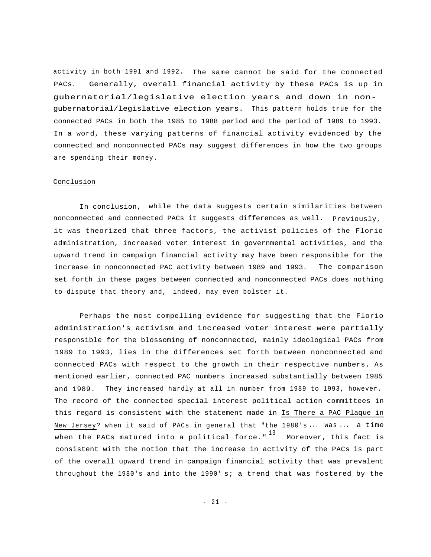activity in both 1991 and 1992. The same cannot be said for the connected PACs. Generally, overall financial activity by these PACs is up in gubernatorial/legislative election years and down in nongubernatorial/legislative election years. This pattern holds true for the connected PACs in both the 1985 to 1988 period and the period of 1989 to 1993. In a word, these varying patterns of financial activity evidenced by the connected and nonconnected PACs may suggest differences in how the two groups are spending their money.

# Conclusion

In conclusion, while the data suggests certain similarities between nonconnected and connected PACs it suggests differences as well. Previously, it was theorized that three factors, the activist policies of the Florio administration, increased voter interest in governmental activities, and the upward trend in campaign financial activity may have been responsible for the increase in nonconnected PAC activity between 1989 and 1993. The comparison set forth in these pages between connected and nonconnected PACs does nothing to dispute that theory and, indeed, may even bolster it.

Perhaps the most compelling evidence for suggesting that the Florio administration's activism and increased voter interest were partially responsible for the blossoming of nonconnected, mainly ideological PACs from 1989 to 1993, lies in the differences set forth between nonconnected and connected PACs with respect to the growth in their respective numbers. As mentioned earlier, connected PAC numbers increased substantially between 1985 and 1989. They increased hardly at all in number from 1989 to 1993, however. The record of the connected special interest political action committees in this regard is consistent with the statement made in Is There a PAC Plaque in New Jersey? when it said of PACs in general that "the 1980's ... was ... a time when the PACs matured into a political force."  $13$  Moreover, this fact is consistent with the notion that the increase in activity of the PACs is part of the overall upward trend in campaign financial activity that was prevalent throughout the 1980's and into the 1990' s; a trend that was fostered by the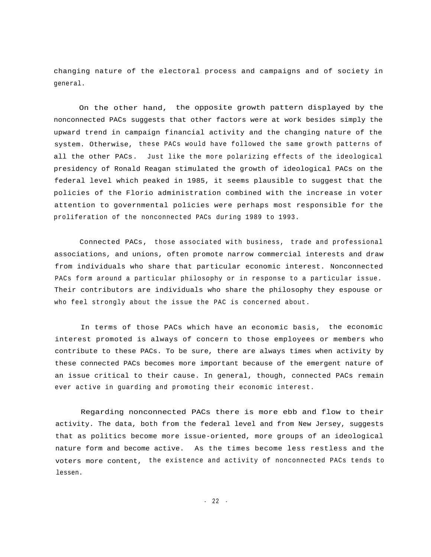changing nature of the electoral process and campaigns and of society in general.

On the other hand, the opposite growth pattern displayed by the nonconnected PACs suggests that other factors were at work besides simply the upward trend in campaign financial activity and the changing nature of the system. Otherwise, these PACs would have followed the same growth patterns of all the other PACs. Just like the more polarizing effects of the ideological presidency of Ronald Reagan stimulated the growth of ideological PACs on the federal level which peaked in 1985, it seems plausible to suggest that the policies of the Florio administration combined with the increase in voter attention to governmental policies were perhaps most responsible for the proliferation of the nonconnected PACs during 1989 to 1993.

Connected PACs, those associated with business, trade and professional associations, and unions, often promote narrow commercial interests and draw from individuals who share that particular economic interest. Nonconnected PACs form around a particular philosophy or in response to a particular issue. Their contributors are individuals who share the philosophy they espouse or who feel strongly about the issue the PAC is concerned about.

In terms of those PACs which have an economic basis, the economic interest promoted is always of concern to those employees or members who contribute to these PACs. To be sure, there are always times when activity by these connected PACs becomes more important because of the emergent nature of an issue critical to their cause. In general, though, connected PACs remain ever active in guarding and promoting their economic interest.

Regarding nonconnected PACs there is more ebb and flow to their activity. The data, both from the federal level and from New Jersey, suggests that as politics become more issue-oriented, more groups of an ideological nature form and become active. As the times become less restless and the voters more content, the existence and activity of nonconnected PACs tends to lessen.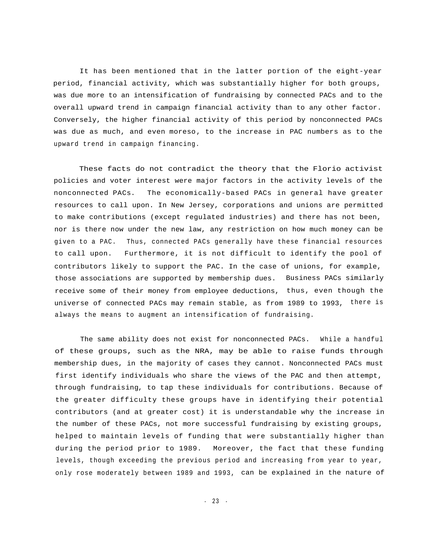It has been mentioned that in the latter portion of the eight-year period, financial activity, which was substantially higher for both groups, was due more to an intensification of fundraising by connected PACs and to the overall upward trend in campaign financial activity than to any other factor. Conversely, the higher financial activity of this period by nonconnected PACs was due as much, and even moreso, to the increase in PAC numbers as to the upward trend in campaign financing.

These facts do not contradict the theory that the Florio activist policies and voter interest were major factors in the activity levels of the nonconnected PACs. The economically-based PACs in general have greater resources to call upon. In New Jersey, corporations and unions are permitted to make contributions (except regulated industries) and there has not been, nor is there now under the new law, any restriction on how much money can be given to a PAC. Thus, connected PACs generally have these financial resources to call upon. Furthermore, it is not difficult to identify the pool of contributors likely to support the PAC. In the case of unions, for example, those associations are supported by membership dues. Business PACs similarly receive some of their money from employee deductions, thus, even though the universe of connected PACs may remain stable, as from 1989 to 1993, there is always the means to augment an intensification of fundraising.

The same ability does not exist for nonconnected PACs. While a handful of these groups, such as the NRA, may be able to raise funds through membership dues, in the majority of cases they cannot. Nonconnected PACs must first identify individuals who share the views of the PAC and then attempt, through fundraising, to tap these individuals for contributions. Because of the greater difficulty these groups have in identifying their potential contributors (and at greater cost) it is understandable why the increase in the number of these PACs, not more successful fundraising by existing groups, helped to maintain levels of funding that were substantially higher than during the period prior to 1989. Moreover, the fact that these funding levels, though exceeding the previous period and increasing from year to year, only rose moderately between 1989 and 1993, can be explained in the nature of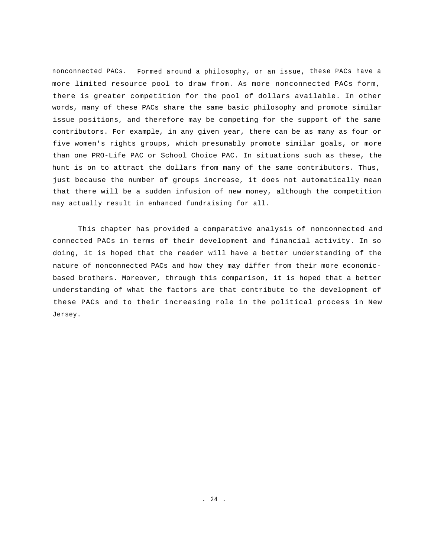nonconnected PACs. Formed around a philosophy, or an issue, these PACs have a more limited resource pool to draw from. As more nonconnected PACs form, there is greater competition for the pool of dollars available. In other words, many of these PACs share the same basic philosophy and promote similar issue positions, and therefore may be competing for the support of the same contributors. For example, in any given year, there can be as many as four or five women's rights groups, which presumably promote similar goals, or more than one PRO-Life PAC or School Choice PAC. In situations such as these, the hunt is on to attract the dollars from many of the same contributors. Thus, just because the number of groups increase, it does not automatically mean that there will be a sudden infusion of new money, although the competition may actually result in enhanced fundraising for all.

This chapter has provided a comparative analysis of nonconnected and connected PACs in terms of their development and financial activity. In so doing, it is hoped that the reader will have a better understanding of the nature of nonconnected PACs and how they may differ from their more economicbased brothers. Moreover, through this comparison, it is hoped that a better understanding of what the factors are that contribute to the development of these PACs and to their increasing role in the political process in New Jersey.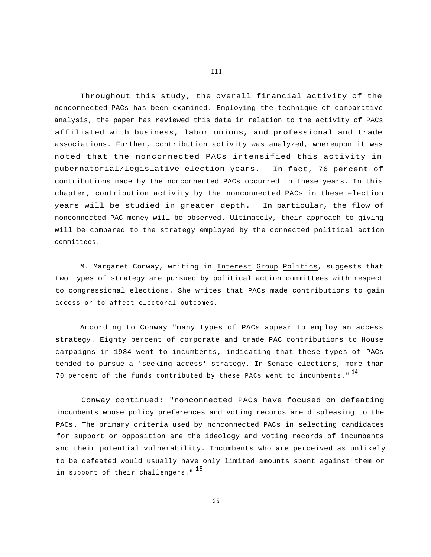Throughout this study, the overall financial activity of the nonconnected PACs has been examined. Employing the technique of comparative analysis, the paper has reviewed this data in relation to the activity of PACs affiliated with business, labor unions, and professional and trade associations. Further, contribution activity was analyzed, whereupon it was noted that the nonconnected PACs intensified this activity in gubernatorial/legislative election years. In fact, 76 percent of contributions made by the nonconnected PACs occurred in these years. In this chapter, contribution activity by the nonconnected PACs in these election years will be studied in greater depth. In particular, the flow of nonconnected PAC money will be observed. Ultimately, their approach to giving will be compared to the strategy employed by the connected political action committees.

M. Margaret Conway, writing in Interest Group Politics, suggests that two types of strategy are pursued by political action committees with respect to congressional elections. She writes that PACs made contributions to gain access or to affect electoral outcomes.

According to Conway "many types of PACs appear to employ an access strategy. Eighty percent of corporate and trade PAC contributions to House campaigns in 1984 went to incumbents, indicating that these types of PACs tended to pursue a 'seeking access' strategy. In Senate elections, more than 70 percent of the funds contributed by these PACs went to incumbents."  $^{14}$ 

Conway continued: "nonconnected PACs have focused on defeating incumbents whose policy preferences and voting records are displeasing to the PACs. The primary criteria used by nonconnected PACs in selecting candidates for support or opposition are the ideology and voting records of incumbents and their potential vulnerability. Incumbents who are perceived as unlikely to be defeated would usually have only limited amounts spent against them or in support of their challengers."  $^{15}$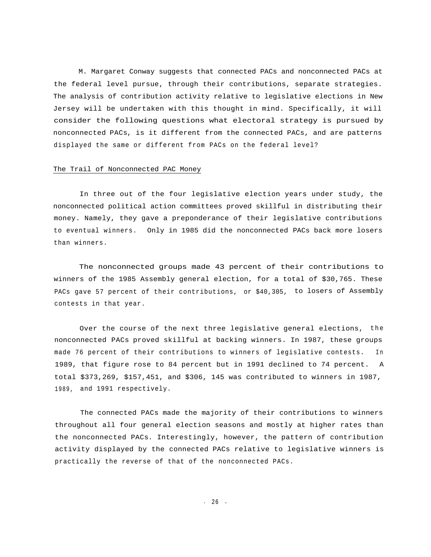M. Margaret Conway suggests that connected PACs and nonconnected PACs at the federal level pursue, through their contributions, separate strategies. The analysis of contribution activity relative to legislative elections in New Jersey will be undertaken with this thought in mind. Specifically, it will consider the following questions what electoral strategy is pursued by nonconnected PACs, is it different from the connected PACs, and are patterns displayed the same or different from PACs on the federal level?

#### The Trail of Nonconnected PAC Money

In three out of the four legislative election years under study, the nonconnected political action committees proved skillful in distributing their money. Namely, they gave a preponderance of their legislative contributions to eventual winners. Only in 1985 did the nonconnected PACs back more losers than winners.

The nonconnected groups made 43 percent of their contributions to winners of the 1985 Assembly general election, for a total of \$30,765. These PACs gave 57 percent of their contributions, or \$40,305, to losers of Assembly contests in that year.

Over the course of the next three legislative general elections, the nonconnected PACs proved skillful at backing winners. In 1987, these groups made 76 percent of their contributions to winners of legislative contests. In 1989, that figure rose to 84 percent but in 1991 declined to 74 percent. A total \$373,269, \$157,451, and \$306, 145 was contributed to winners in 1987, 1989, and 1991 respectively.

The connected PACs made the majority of their contributions to winners throughout all four general election seasons and mostly at higher rates than the nonconnected PACs. Interestingly, however, the pattern of contribution activity displayed by the connected PACs relative to legislative winners is practically the reverse of that of the nonconnected PACs.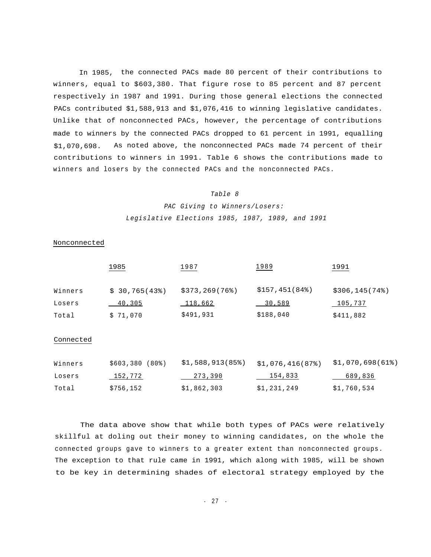In 1985, the connected PACs made 80 percent of their contributions to winners, equal to \$603,380. That figure rose to 85 percent and 87 percent respectively in 1987 and 1991. During those general elections the connected PACs contributed \$1,588,913 and \$1,076,416 to winning legislative candidates. Unlike that of nonconnected PACs, however, the percentage of contributions made to winners by the connected PACs dropped to 61 percent in 1991, equalling \$1,070,698. As noted above, the nonconnected PACs made 74 percent of their contributions to winners in 1991. Table 6 shows the contributions made to winners and losers by the connected PACs and the nonconnected PACs.

#### *Table 8*

*PAC Giving to Winners/Losers: Legislative Elections 1985, 1987, 1989, and 1991*

Nonconnected

|           | 1985          | 1987             | 1989          | 1991            |
|-----------|---------------|------------------|---------------|-----------------|
| Winners   | \$30,765(43%) | \$373, 269 (76%) | \$157,451(84) | \$306, 145 (74) |
| Losers    | <u>40,305</u> | $-118,662$       | 30,589        | 105,737         |
| Total     | \$71,070      | \$491,931        | \$188,040     | \$411,882       |
| Connected |               |                  |               |                 |

| Winners | $$603,380 (80\%)$ | \$1,588,913(85%) | \$1,076,416(87%) | \$1,070,698(618) |
|---------|-------------------|------------------|------------------|------------------|
| Losers  | 152,772           | 273,390          | 154,833          | 689,836          |
| Total   | \$756,152         | \$1,862,303      | \$1,231,249      | \$1,760,534      |

The data above show that while both types of PACs were relatively skillful at doling out their money to winning candidates, on the whole the connected groups gave to winners to a greater extent than nonconnected groups. The exception to that rule came in 1991, which along with 1985, will be shown to be key in determining shades of electoral strategy employed by the

- 27 -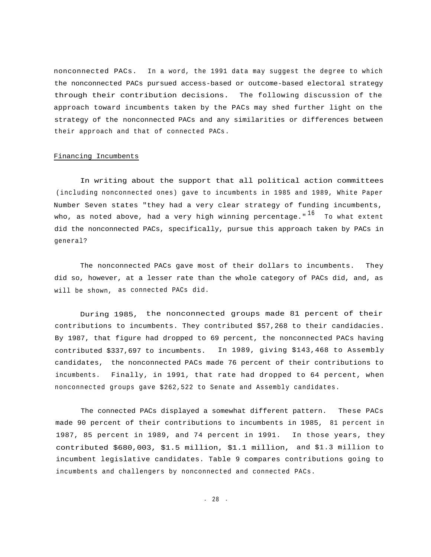nonconnected PACs. In a word, the 1991 data may suggest the degree to which the nonconnected PACs pursued access-based or outcome-based electoral strategy through their contribution decisions. The following discussion of the approach toward incumbents taken by the PACs may shed further light on the strategy of the nonconnected PACs and any similarities or differences between their approach and that of connected PACs.

#### Financing Incumbents

In writing about the support that all political action committees (including nonconnected ones) gave to incumbents in 1985 and 1989, White Paper Number Seven states "they had a very clear strategy of funding incumbents, who, as noted above, had a very high winning percentage."  $^{16}$  To what extent did the nonconnected PACs, specifically, pursue this approach taken by PACs in general?

The nonconnected PACs gave most of their dollars to incumbents. They did so, however, at a lesser rate than the whole category of PACs did, and, as will be shown, as connected PACs did.

During 1985, the nonconnected groups made 81 percent of their contributions to incumbents. They contributed \$57,268 to their candidacies. By 1987, that figure had dropped to 69 percent, the nonconnected PACs having contributed \$337,697 to incumbents. In 1989, giving \$143,468 to Assembly candidates, the nonconnected PACs made 76 percent of their contributions to incumbents. Finally, in 1991, that rate had dropped to 64 percent, when nonconnected groups gave \$262,522 to Senate and Assembly candidates.

The connected PACs displayed a somewhat different pattern. These PACs made 90 percent of their contributions to incumbents in 1985, 81 percent in 1987, 85 percent in 1989, and 74 percent in 1991. In those years, they contributed \$680,003, \$1.5 million, \$1.1 million, and \$1.3 million to incumbent legislative candidates. Table 9 compares contributions going to incumbents and challengers by nonconnected and connected PACs.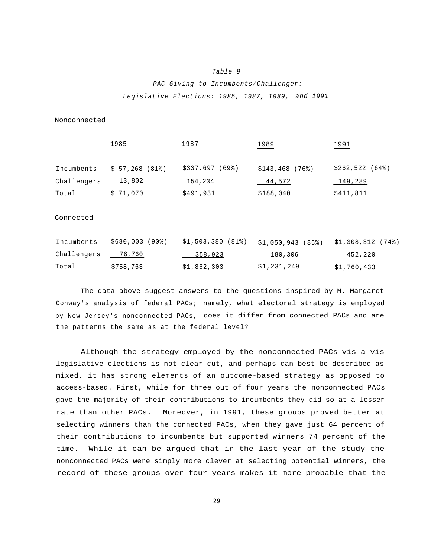#### *Table 9*

# *PAC Giving to Incumbents/Challenger: Legislative Elections: 1985, 1987, 1989, and 1991*

#### Nonconnected

|                    | 1985          | 1987             | 1989             | 1991           |
|--------------------|---------------|------------------|------------------|----------------|
| Incumbents         | \$57,268(81%) | $$337,697$ (69%) | $$143,468$ (76%) | \$262,522 (64) |
| Challengers 13,802 |               | 154,234          | 44,572           | 149,289        |
| Total              | \$71,070      | \$491,931        | \$188,040        | \$411,811      |

#### Connected

| Incumbents  | \$680,003 (90%) | \$1,503,380 (81%) \$1,050,943 (85%) |             | \$1,308,312 (74%) |
|-------------|-----------------|-------------------------------------|-------------|-------------------|
| Challengers | 76,760          | 358,923                             | 180, 306    | 452,220           |
| Total       | \$758,763       | \$1,862,303                         | \$1,231,249 | \$1,760,433       |

The data above suggest answers to the questions inspired by M. Margaret Conway's analysis of federal PACs; namely, what electoral strategy is employed by New Jersey's nonconnected PACs, does it differ from connected PACs and are the patterns the same as at the federal level?

Although the strategy employed by the nonconnected PACs vis-a-vis legislative elections is not clear cut, and perhaps can best be described as mixed, it has strong elements of an outcome-based strategy as opposed to access-based. First, while for three out of four years the nonconnected PACs gave the majority of their contributions to incumbents they did so at a lesser rate than other PACs. Moreover, in 1991, these groups proved better at selecting winners than the connected PACs, when they gave just 64 percent of their contributions to incumbents but supported winners 74 percent of the time. While it can be argued that in the last year of the study the nonconnected PACs were simply more clever at selecting potential winners, the record of these groups over four years makes it more probable that the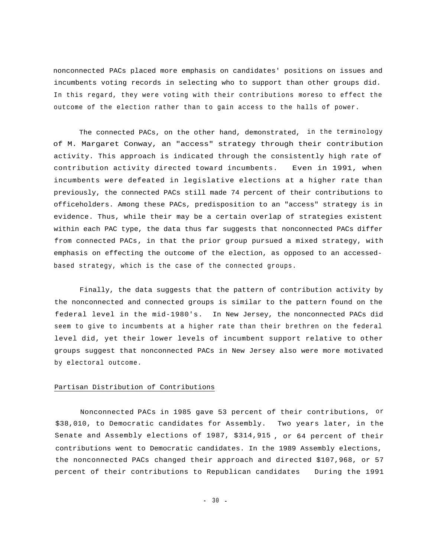nonconnected PACs placed more emphasis on candidates' positions on issues and incumbents voting records in selecting who to support than other groups did. In this regard, they were voting with their contributions moreso to effect the outcome of the election rather than to gain access to the halls of power.

The connected PACs, on the other hand, demonstrated, in the terminology of M. Margaret Conway, an "access" strategy through their contribution activity. This approach is indicated through the consistently high rate of contribution activity directed toward incumbents. Even in 1991, when incumbents were defeated in legislative elections at a higher rate than previously, the connected PACs still made 74 percent of their contributions to officeholders. Among these PACs, predisposition to an "access" strategy is in evidence. Thus, while their may be a certain overlap of strategies existent within each PAC type, the data thus far suggests that nonconnected PACs differ from connected PACs, in that the prior group pursued a mixed strategy, with emphasis on effecting the outcome of the election, as opposed to an accessedbased strategy, which is the case of the connected groups.

Finally, the data suggests that the pattern of contribution activity by the nonconnected and connected groups is similar to the pattern found on the federal level in the mid-1980's. In New Jersey, the nonconnected PACs did seem to give to incumbents at a higher rate than their brethren on the federal level did, yet their lower levels of incumbent support relative to other groups suggest that nonconnected PACs in New Jersey also were more motivated by electoral outcome.

# Partisan Distribution of Contributions

Nonconnected PACs in 1985 gave 53 percent of their contributions, or \$38,010, to Democratic candidates for Assembly. Two years later, in the Senate and Assembly elections of 1987, \$314,915 , or 64 percent of their contributions went to Democratic candidates. In the 1989 Assembly elections, the nonconnected PACs changed their approach and directed \$107,968, or 57 percent of their contributions to Republican candidates During the 1991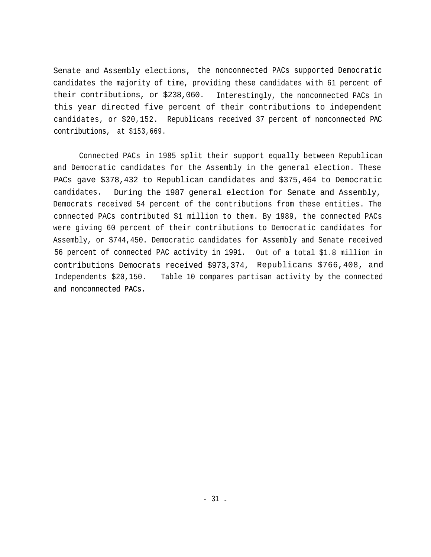Senate and Assembly elections, the nonconnected PACs supported Democratic candidates the majority of time, providing these candidates with 61 percent of their contributions, or \$238,060. Interestingly, the nonconnected PACs in this year directed five percent of their contributions to independent candidates, or \$20,152. Republicans received 37 percent of nonconnected PAC contributions, at \$153,669.

Connected PACs in 1985 split their support equally between Republican and Democratic candidates for the Assembly in the general election. These PACs gave \$378,432 to Republican candidates and \$375,464 to Democratic candidates. During the 1987 general election for Senate and Assembly, Democrats received 54 percent of the contributions from these entities. The connected PACs contributed \$1 million to them. By 1989, the connected PACs were giving 60 percent of their contributions to Democratic candidates for Assembly, or \$744,450. Democratic candidates for Assembly and Senate received 56 percent of connected PAC activity in 1991. Out of a total \$1.8 million in contributions Democrats received \$973,374, Republicans \$766,408, and Independents \$20,150. Table 10 compares partisan activity by the connected and nonconnected PACs.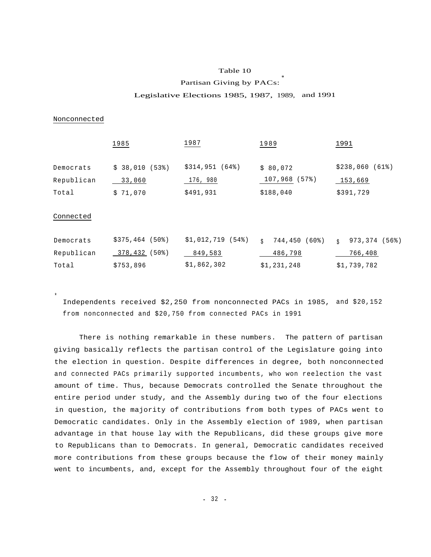#### Table 10

*\**

#### Partisan Giving by PACs:

#### Legislative Elections 1985, 1987, 1989, and 1991

#### Nonconnected

\*

|                                  | 1985                                     | 1987                                     | 1989                                     | 1991                                   |
|----------------------------------|------------------------------------------|------------------------------------------|------------------------------------------|----------------------------------------|
| Democrats<br>Republican<br>Total | \$38,010<br>(53%)<br>33,060<br>\$71,070  | \$314,951 (64%)<br>176, 980<br>\$491,931 | \$80,072<br>(57)<br>107,968<br>\$188,040 | \$238,060(61%)<br>153,669<br>\$391,729 |
| Connected                        |                                          |                                          |                                          |                                        |
| Democrats<br>Republican          | $$375,464$ (50%)<br>$(50$ $)$<br>378,432 | $$1,012,719$ (54%)<br>849,583            | 744,450 (60%)<br>Ŝ.<br>486,798           | 973,374 (56%)<br>$\ddot{S}$<br>766,408 |
| Total                            | \$753,896                                | \$1,862,302                              | \$1,231,248                              | \$1,739,782                            |

Independents received \$2,250 from nonconnected PACs in 1985, and \$20,152 from nonconnected and \$20,750 from connected PACs in 1991

There is nothing remarkable in these numbers. The pattern of partisan giving basically reflects the partisan control of the Legislature going into the election in question. Despite differences in degree, both nonconnected and connected PACs primarily supported incumbents, who won reelection the vast amount of time. Thus, because Democrats controlled the Senate throughout the entire period under study, and the Assembly during two of the four elections in question, the majority of contributions from both types of PACs went to Democratic candidates. Only in the Assembly election of 1989, when partisan advantage in that house lay with the Republicans, did these groups give more to Republicans than to Democrats. In general, Democratic candidates received more contributions from these groups because the flow of their money mainly went to incumbents, and, except for the Assembly throughout four of the eight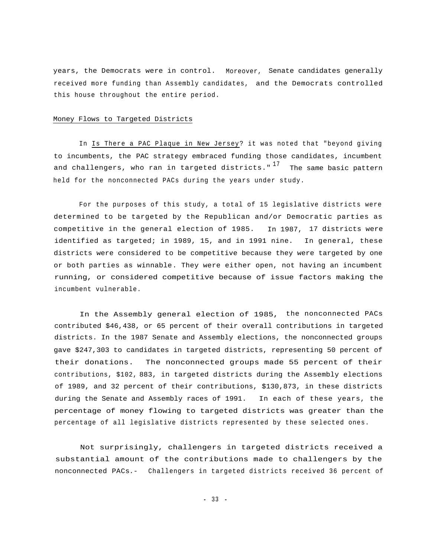years, the Democrats were in control. Moreover, Senate candidates generally received more funding than Assembly candidates, and the Democrats controlled this house throughout the entire period.

#### Money Flows to Targeted Districts

In Is There a PAC Plaque in New Jersey? it was noted that "beyond giving to incumbents, the PAC strategy embraced funding those candidates, incumbent and challengers, who ran in targeted districts."  $17$  The same basic pattern held for the nonconnected PACs during the years under study.

For the purposes of this study, a total of 15 legislative districts were determined to be targeted by the Republican and/or Democratic parties as competitive in the general election of 1985. In 1987, 17 districts were identified as targeted; in 1989, 15, and in 1991 nine. In general, these districts were considered to be competitive because they were targeted by one or both parties as winnable. They were either open, not having an incumbent running, or considered competitive because of issue factors making the incumbent vulnerable.

In the Assembly general election of 1985, the nonconnected PACs contributed \$46,438, or 65 percent of their overall contributions in targeted districts. In the 1987 Senate and Assembly elections, the nonconnected groups gave \$247,303 to candidates in targeted districts, representing 50 percent of their donations. The nonconnected groups made 55 percent of their contributions, \$102, 883, in targeted districts during the Assembly elections of 1989, and 32 percent of their contributions, \$130,873, in these districts during the Senate and Assembly races of 1991. In each of these years, the percentage of money flowing to targeted districts was greater than the percentage of all legislative districts represented by these selected ones.

Not surprisingly, challengers in targeted districts received a substantial amount of the contributions made to challengers by the nonconnected PACs.- Challengers in targeted districts received 36 percent of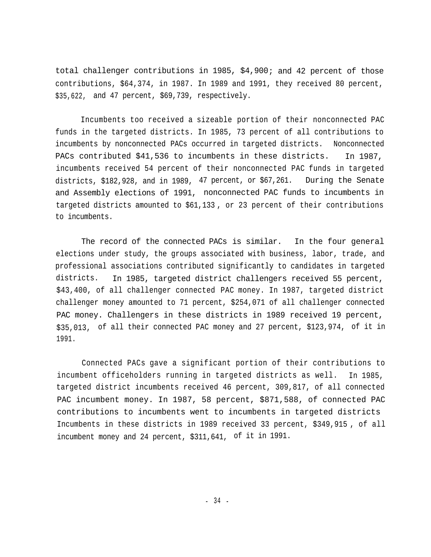total challenger contributions in 1985, \$4,900; and 42 percent of those contributions, \$64,374, in 1987. In 1989 and 1991, they received 80 percent, \$35,622, and 47 percent, \$69,739, respectively.

Incumbents too received a sizeable portion of their nonconnected PAC funds in the targeted districts. In 1985, 73 percent of all contributions to incumbents by nonconnected PACs occurred in targeted districts. Nonconnected PACs contributed \$41,536 to incumbents in these districts. In 1987, incumbents received 54 percent of their nonconnected PAC funds in targeted districts, \$182,928, and in 1989, 47 percent, or \$67,261. During the Senate and Assembly elections of 1991, nonconnected PAC funds to incumbents in targeted districts amounted to \$61,133 , or 23 percent of their contributions to incumbents.

The record of the connected PACs is similar. In the four general elections under study, the groups associated with business, labor, trade, and professional associations contributed significantly to candidates in targeted districts. In 1985, targeted district challengers received 55 percent, \$43,400, of all challenger connected PAC money. In 1987, targeted district challenger money amounted to 71 percent, \$254,071 of all challenger connected PAC money. Challengers in these districts in 1989 received 19 percent, \$35,013, of all their connected PAC money and 27 percent, \$123,974, of it in 1991.

Connected PACs gave a significant portion of their contributions to incumbent officeholders running in targeted districts as well. In 1985, targeted district incumbents received 46 percent, 309,817, of all connected PAC incumbent money. In 1987, 58 percent, \$871,588, of connected PAC contributions to incumbents went to incumbents in targeted districts Incumbents in these districts in 1989 received 33 percent, \$349,915 , of all incumbent money and 24 percent, \$311,641, of it in 1991.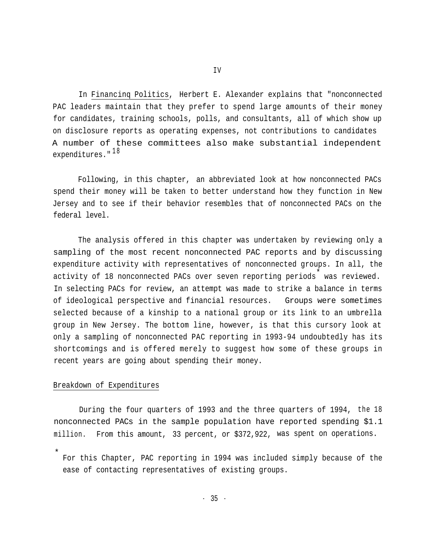In Financinq Politics, Herbert E. Alexander explains that "nonconnected PAC leaders maintain that they prefer to spend large amounts of their money for candidates, training schools, polls, and consultants, all of which show up on disclosure reports as operating expenses, not contributions to candidates A number of these committees also make substantial independent  $expenditures."$ <sup>18</sup>

Following, in this chapter, an abbreviated look at how nonconnected PACs spend their money will be taken to better understand how they function in New Jersey and to see if their behavior resembles that of nonconnected PACs on the federal level.

The analysis offered in this chapter was undertaken by reviewing only a sampling of the most recent nonconnected PAC reports and by discussing expenditure activity with representatives of nonconnected groups. In all, the activity of 18 nonconnected PACs over seven reporting periods \* was reviewed. In selecting PACs for review, an attempt was made to strike a balance in terms of ideological perspective and financial resources. Groups were sometimes selected because of a kinship to a national group or its link to an umbrella group in New Jersey. The bottom line, however, is that this cursory look at only a sampling of nonconnected PAC reporting in 1993-94 undoubtedly has its shortcomings and is offered merely to suggest how some of these groups in recent years are going about spending their money.

# Breakdown of Expenditures

During the four quarters of 1993 and the three quarters of 1994, the 18 nonconnected PACs in the sample population have reported spending \$1.1 million. From this amount, 33 percent, or \$372,922, was spent on operations.

\* For this Chapter, PAC reporting in 1994 was included simply because of the ease of contacting representatives of existing groups.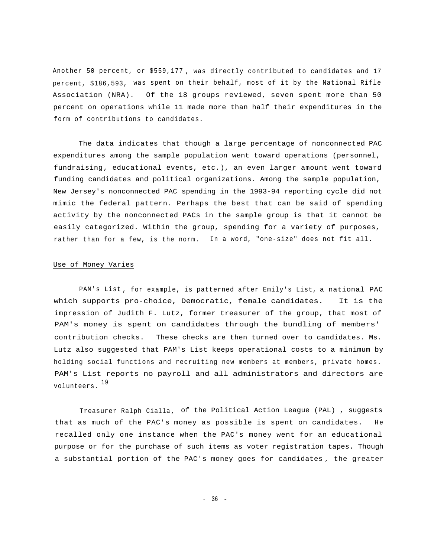Another 50 percent, or \$559,177 , was directly contributed to candidates and 17 percent, \$186,593, was spent on their behalf, most of it by the National Rifle Association (NRA). Of the 18 groups reviewed, seven spent more than 50 percent on operations while 11 made more than half their expenditures in the form of contributions to candidates.

The data indicates that though a large percentage of nonconnected PAC expenditures among the sample population went toward operations (personnel, fundraising, educational events, etc.), an even larger amount went toward funding candidates and political organizations. Among the sample population, New Jersey's nonconnected PAC spending in the 1993-94 reporting cycle did not mimic the federal pattern. Perhaps the best that can be said of spending activity by the nonconnected PACs in the sample group is that it cannot be easily categorized. Within the group, spending for a variety of purposes, rather than for a few, is the norm. In a word, "one-size" does not fit all.

#### Use of Money Varies

PAM's List, for example, is patterned after Emily's List, a national PAC which supports pro-choice, Democratic, female candidates. It is the impression of Judith F. Lutz, former treasurer of the group, that most of PAM's money is spent on candidates through the bundling of members' contribution checks. These checks are then turned over to candidates. Ms. Lutz also suggested that PAM's List keeps operational costs to a minimum by holding social functions and recruiting new members at members, private homes. PAM's List reports no payroll and all administrators and directors are volunteers. <sup>19</sup>

Treasurer Ralph Cialla, of the Political Action League (PAL) , suggests that as much of the PAC's money as possible is spent on candidates. recalled only one instance when the PAC's money went for an educational purpose or for the purchase of such items as voter registration tapes. Though a substantial portion of the PAC's money goes for candidates , the greater H e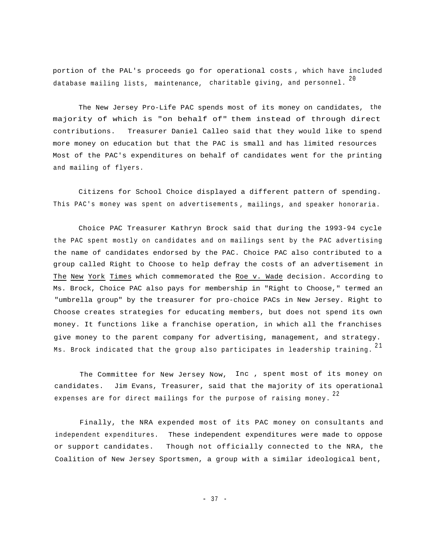portion of the PAL's proceeds go for operational costs , which have included database mailing lists, maintenance, charitable giving, and personnel.  $^{\mathrm{20}}$ 

The New Jersey Pro-Life PAC spends most of its money on candidates, the majority of which is "on behalf of" them instead of through direct contributions. Treasurer Daniel Calleo said that they would like to spend more money on education but that the PAC is small and has limited resources Most of the PAC's expenditures on behalf of candidates went for the printing and mailing of flyers.

Citizens for School Choice displayed a different pattern of spending. This PAC's money was spent on advertisements , mailings, and speaker honoraria.

Choice PAC Treasurer Kathryn Brock said that during the 1993-94 cycle the PAC spent mostly on candidates and on mailings sent by the PAC advertising the name of candidates endorsed by the PAC. Choice PAC also contributed to a group called Right to Choose to help defray the costs of an advertisement in The New York Times which commemorated the Roe v. Wade decision. According to Ms. Brock, Choice PAC also pays for membership in "Right to Choose," termed an "umbrella group" by the treasurer for pro-choice PACs in New Jersey. Right to Choose creates strategies for educating members, but does not spend its own money. It functions like a franchise operation, in which all the franchises give money to the parent company for advertising, management, and strategy. Ms. Brock indicated that the group also participates in leadership training.  $^{\mathrm{21}}$ 

The Committee for New Jersey Now, Inc , spent most of its money on candidates. Jim Evans, Treasurer, said that the majority of its operational expenses are for direct mailings for the purpose of raising money.  $^{22}$ 

Finally, the NRA expended most of its PAC money on consultants and independent expenditures. These independent expenditures were made to oppose or support candidates. Though not officially connected to the NRA, the Coalition of New Jersey Sportsmen, a group with a similar ideological bent,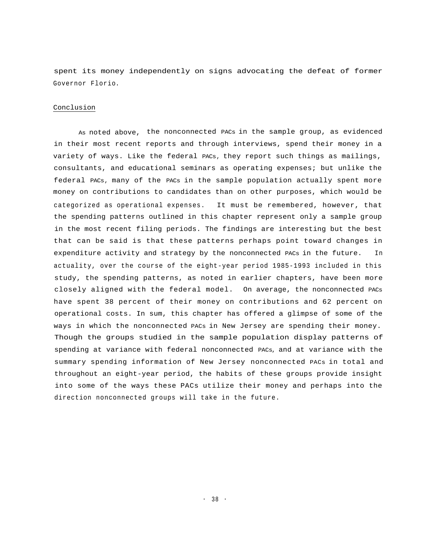spent its money independently on signs advocating the defeat of former Governor Florio.

#### Conclusion

As noted above, the nonconnected PACs in the sample group, as evidenced in their most recent reports and through interviews, spend their money in a variety of ways. Like the federal PACs, they report such things as mailings, consultants, and educational seminars as operating expenses; but unlike the federal PACs, many of the PACs in the sample population actually spent more money on contributions to candidates than on other purposes, which would be categorized as operational expenses. It must be remembered, however, that the spending patterns outlined in this chapter represent only a sample group in the most recent filing periods. The findings are interesting but the best that can be said is that these patterns perhaps point toward changes in expenditure activity and strategy by the nonconnected PACs in the future. In actuality, over the course of the eight-year period 1985-1993 included in this study, the spending patterns, as noted in earlier chapters, have been more closely aligned with the federal model. On average, the nonconnected PACs have spent 38 percent of their money on contributions and 62 percent on operational costs. In sum, this chapter has offered a glimpse of some of the ways in which the nonconnected PACs in New Jersey are spending their money. Though the groups studied in the sample population display patterns of spending at variance with federal nonconnected PACs, and at variance with the summary spending information of New Jersey nonconnected PACs in total and throughout an eight-year period, the habits of these groups provide insight into some of the ways these PACs utilize their money and perhaps into the direction nonconnected groups will take in the future.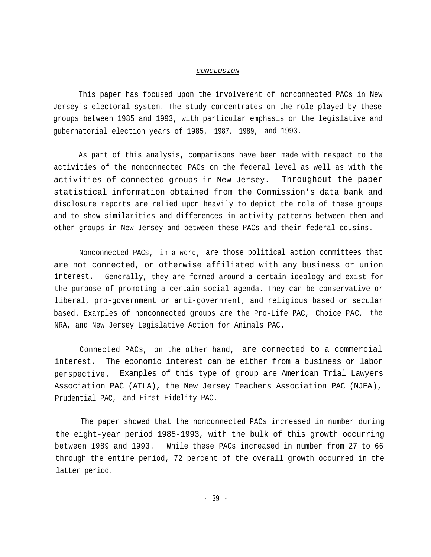#### *CONCLUSION*

This paper has focused upon the involvement of nonconnected PACs in New Jersey's electoral system. The study concentrates on the role played by these groups between 1985 and 1993, with particular emphasis on the legislative and gubernatorial election years of 1985, 1987, 1989, and 1993.

As part of this analysis, comparisons have been made with respect to the activities of the nonconnected PACs on the federal level as well as with the activities of connected groups in New Jersey. Throughout the paper statistical information obtained from the Commission's data bank and disclosure reports are relied upon heavily to depict the role of these groups and to show similarities and differences in activity patterns between them and other groups in New Jersey and between these PACs and their federal cousins.

Nonconnected PACs, in a word, are those political action committees that are not connected, or otherwise affiliated with any business or union interest. Generally, they are formed around a certain ideology and exist for the purpose of promoting a certain social agenda. They can be conservative or liberal, pro-government or anti-government, and religious based or secular based. Examples of nonconnected groups are the Pro-Life PAC, Choice PAC, the NRA, and New Jersey Legislative Action for Animals PAC.

Connected PACs, on the other hand, are connected to a commercial interest. The economic interest can be either from a business or labor perspective. Examples of this type of group are American Trial Lawyers Association PAC (ATLA), the New Jersey Teachers Association PAC (NJEA), Prudential PAC, and First Fidelity PAC.

The paper showed that the nonconnected PACs increased in number during the eight-year period 1985-1993, with the bulk of this growth occurring between 1989 and 1993. While these PACs increased in number from 27 to 66 through the entire period, 72 percent of the overall growth occurred in the latter period.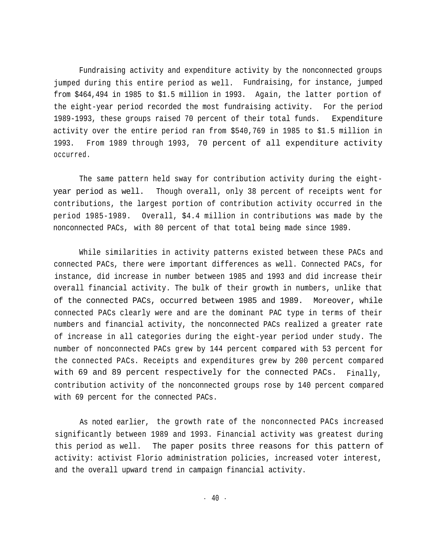Fundraising activity and expenditure activity by the nonconnected groups jumped during this entire period as well. Fundraising, for instance, jumped from \$464,494 in 1985 to \$1.5 million in 1993. Again, the latter portion of the eight-year period recorded the most fundraising activity. For the period 1989-1993, these groups raised 70 percent of their total funds. Expenditure activity over the entire period ran from \$540,769 in 1985 to \$1.5 million in 1993. From 1989 through 1993, 70 percent of all expenditure activity occurred.

The same pattern held sway for contribution activity during the eightyear period as well. Though overall, only 38 percent of receipts went for contributions, the largest portion of contribution activity occurred in the period 1985-1989. Overall, \$4.4 million in contributions was made by the nonconnected PACs, with 80 percent of that total being made since 1989.

While similarities in activity patterns existed between these PACs and connected PACs, there were important differences as well. Connected PACs, for instance, did increase in number between 1985 and 1993 and did increase their overall financial activity. The bulk of their growth in numbers, unlike that of the connected PACs, occurred between 1985 and 1989. Moreover, while connected PACs clearly were and are the dominant PAC type in terms of their numbers and financial activity, the nonconnected PACs realized a greater rate of increase in all categories during the eight-year period under study. The number of nonconnected PACs grew by 144 percent compared with 53 percent for the connected PACs. Receipts and expenditures grew by 200 percent compared with 69 and 89 percent respectively for the connected PACs. Finally, contribution activity of the nonconnected groups rose by 140 percent compared with 69 percent for the connected PACs.

As noted earlier, the growth rate of the nonconnected PACs increased significantly between 1989 and 1993. Financial activity was greatest during this period as well. The paper posits three reasons for this pattern of activity: activist Florio administration policies, increased voter interest, and the overall upward trend in campaign financial activity.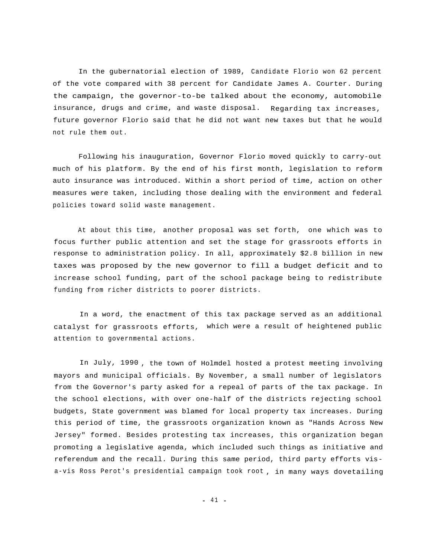In the gubernatorial election of 1989, Candidate Florio won 62 percent of the vote compared with 38 percent for Candidate James A. Courter. During the campaign, the governor-to-be talked about the economy, automobile insurance, drugs and crime, and waste disposal. Regarding tax increases, future governor Florio said that he did not want new taxes but that he would not rule them out.

Following his inauguration, Governor Florio moved quickly to carry-out much of his platform. By the end of his first month, legislation to reform auto insurance was introduced. Within a short period of time, action on other measures were taken, including those dealing with the environment and federal policies toward solid waste management.

At about this time, another proposal was set forth, one which was to focus further public attention and set the stage for grassroots efforts in response to administration policy. In all, approximately \$2.8 billion in new taxes was proposed by the new governor to fill a budget deficit and to increase school funding, part of the school package being to redistribute funding from richer districts to poorer districts.

In a word, the enactment of this tax package served as an additional catalyst for grassroots efforts, which were a result of heightened public attention to governmental actions.

In July, 1990 , the town of Holmdel hosted a protest meeting involving mayors and municipal officials. By November, a small number of legislators from the Governor's party asked for a repeal of parts of the tax package. In the school elections, with over one-half of the districts rejecting school budgets, State government was blamed for local property tax increases. During this period of time, the grassroots organization known as "Hands Across New Jersey" formed. Besides protesting tax increases, this organization began promoting a legislative agenda, which included such things as initiative and referendum and the recall. During this same period, third party efforts visa-vis Ross Perot's presidential campaign took root , in many ways dovetailing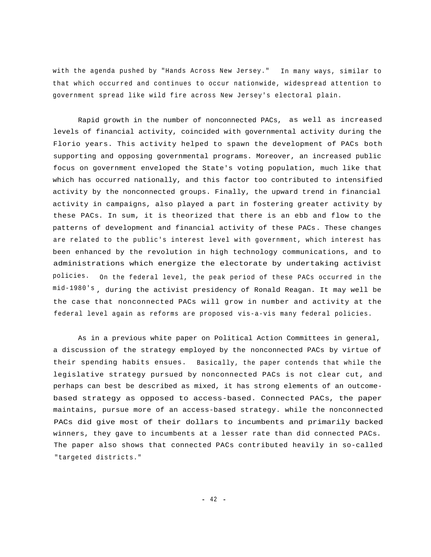with the agenda pushed by "Hands Across New Jersey." In many ways, similar to that which occurred and continues to occur nationwide, widespread attention to government spread like wild fire across New Jersey's electoral plain.

Rapid growth in the number of nonconnected PACs, as well as increased levels of financial activity, coincided with governmental activity during the Florio years. This activity helped to spawn the development of PACs both supporting and opposing governmental programs. Moreover, an increased public focus on government enveloped the State's voting population, much like that which has occurred nationally, and this factor too contributed to intensified activity by the nonconnected groups. Finally, the upward trend in financial activity in campaigns, also played a part in fostering greater activity by these PACs. In sum, it is theorized that there is an ebb and flow to the patterns of development and financial activity of these PACs. These changes are related to the public's interest level with government, which interest has been enhanced by the revolution in high technology communications, and to administrations which energize the electorate by undertaking activist policies. On the federal level, the peak period of these PACs occurred in the mid-1980's , during the activist presidency of Ronald Reagan. It may well be the case that nonconnected PACs will grow in number and activity at the federal level again as reforms are proposed vis-a-vis many federal policies.

As in a previous white paper on Political Action Committees in general, a discussion of the strategy employed by the nonconnected PACs by virtue of their spending habits ensues. Basically, the paper contends that while the legislative strategy pursued by nonconnected PACs is not clear cut, and perhaps can best be described as mixed, it has strong elements of an outcomebased strategy as opposed to access-based. Connected PACs, the paper maintains, pursue more of an access-based strategy. while the nonconnected PACs did give most of their dollars to incumbents and primarily backed winners, they gave to incumbents at a lesser rate than did connected PACs. The paper also shows that connected PACs contributed heavily in so-called "targeted districts."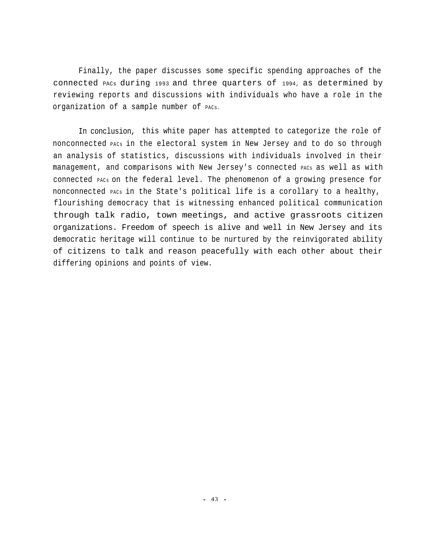Finally, the paper discusses some specific spending approaches of the connected PACs during 1993 and three quarters of 1994, as determined by reviewing reports and discussions with individuals who have a role in the organization of a sample number of PACs.

In conclusion, this white paper has attempted to categorize the role of nonconnected PACs in the electoral system in New Jersey and to do so through an analysis of statistics, discussions with individuals involved in their management, and comparisons with New Jersey's connected PACs as well as with connected PACs on the federal level. The phenomenon of a growing presence for nonconnected PACs in the State's political life is a corollary to a healthy, flourishing democracy that is witnessing enhanced political communication through talk radio, town meetings, and active grassroots citizen organizations. Freedom of speech is alive and well in New Jersey and its democratic heritage will continue to be nurtured by the reinvigorated ability of citizens to talk and reason peacefully with each other about their differing opinions and points of view.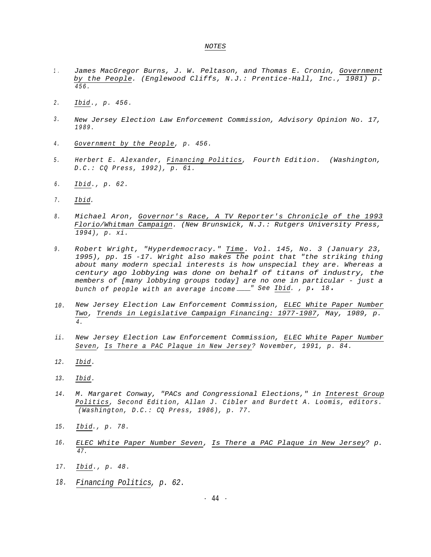#### *NOTES*

- *1 . James MacGregor Burns, J. W. Peltason, and Thomas E. Cronin, Government by the People. (Englewood Cliffs, N.J.: Prentice-Hall, Inc., 1981) p. 456.*
- *2 . Ibid., p. 456.*
- *3 . New Jersey Election Law Enforcement Commission, Advisory Opinion No. 17, 1989.*
- *4 . Government by the People, p. 456.*
- *5 . Herbert E. Alexander, Financing Politics, Fourth Edition. (Washington, D.C.: CQ Press, 1992), p. 61.*
- *6 . Ibid., p. 62.*
- *7 . Ibid.*
- *Michael Aron, Governor's Race, A TV Reporter's Chronicle of the 1993 Florio/Whitman Campaign. (New Brunswick, N.J.: Rutgers University Press, 1994), p. xi. 8 .*
- *9 . Robert Wright, "Hyperdemocracy." Time. Vol. 145, No. 3 (January 23, 1995), pp. 15 -17. Wright also makes the point that "the striking thing about many modern special interests is how unspecial they are. Whereas a century ago lobbying was done on behalf of titans of industry, the members of [many lobbying groups today] are no one in particular - just a bunch of people with an average income " See Ibid. , p. 18.*
- *New Jersey Election Law Enforcement Commission, ELEC White Paper Number Two, Trends in Legislative Campaign Financing: 1977-1987, May, 1989, p. 4. 10.*
- *New Jersey Election Law Enforcement Commission, ELEC White Paper Number Seven, Is There a PAC Plaque in New Jersey? November, 1991, p. 84. ii.*
- *12. Ibid.*
- *13. Ibid.*
- *M. Margaret Conway, "PACs and Congressional Elections," in Interest Group Politics, Second Edition, Allan J. Cibler and Burdett A. Loomis, editors. (Washington, D.C.: CQ Press, 1986), p. 77. 14.*
- *15. Ibid., p. 78.*
- *16. ELEC White Paper Number Seven, Is There a PAC Plaque in New Jersey? p. 47.*
- *17. Ibid., p. 48.*
- *18. Financing Politics, p. 62.*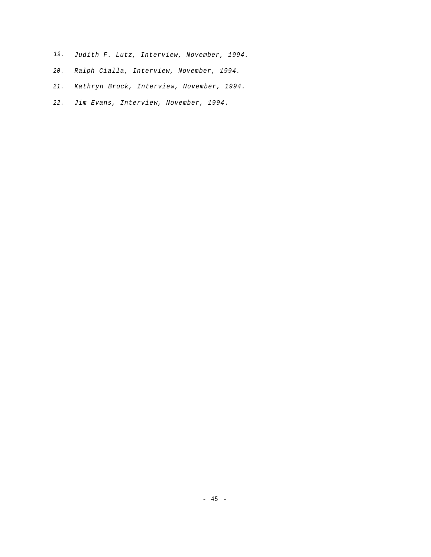- *19. Judith F. Lutz, Interview, November, 1994.*
- *Ralph Cialla, Interview, November, 1994. 20.*
- *Kathryn Brock, Interview, November, 1994. 21.*
- *Jim Evans, Interview, November, 1994. 22.*